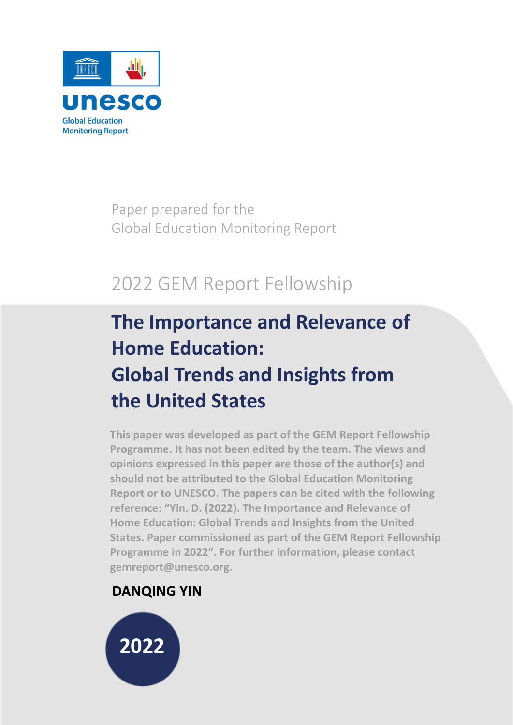

Paper prepared for the Global Education Monitoring Report

# 2022 GEM Report Fellowship

# **The Importance and Relevance of Home Education: Global Trends and Insights from the United States**

**This paper was developed as part of the GEM Report Fellowship Programme. It has not been edited by the team. The views and opinions expressed in this paper are those of the author(s) and should not be attributed to the Global Education Monitoring Report or to UNESCO. The papers can be cited with the following reference: "Yin. D. (2022). The Importance and Relevance of Home Education: Global Trends and Insights from the United States. Paper commissioned as part of the GEM Report Fellowship Programme in 2022". For further information, please contact gemreport@unesco.org.**

# **DANQING YIN**

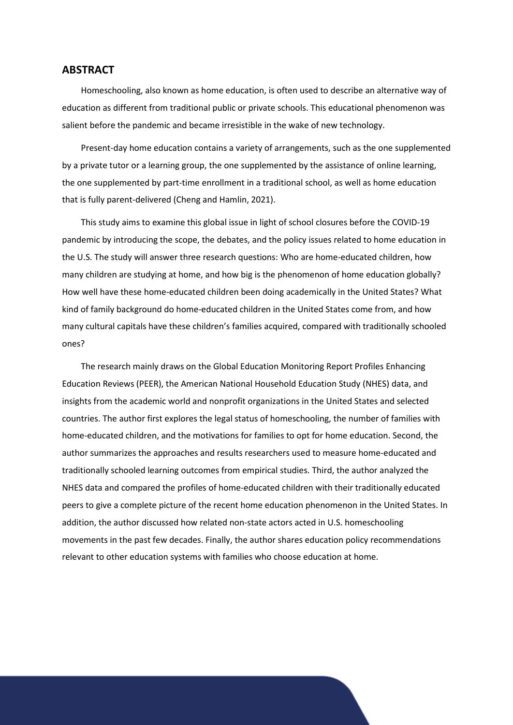#### <span id="page-1-0"></span>**ABSTRACT**

Homeschooling, also known as home education, is often used to describe an alternative way of education as different from traditional public or private schools. This educational phenomenon was salient before the pandemic and became irresistible in the wake of new technology.

Present-day home education contains a variety of arrangements, such as the one supplemented by a private tutor or a learning group, the one supplemented by the assistance of online learning, the one supplemented by part-time enrollment in a traditional school, as well as home education that is fully parent-delivered (Cheng and Hamlin, 2021).

This study aims to examine this global issue in light of school closures before the COVID-19 pandemic by introducing the scope, the debates, and the policy issues related to home education in the U.S. The study will answer three research questions: Who are home-educated children, how many children are studying at home, and how big is the phenomenon of home education globally? How well have these home-educated children been doing academically in the United States? What kind of family background do home-educated children in the United States come from, and how many cultural capitals have these children's families acquired, compared with traditionally schooled ones?

The research mainly draws on the Global Education Monitoring Report Profiles Enhancing Education Reviews (PEER), the American National Household Education Study (NHES) data, and insights from the academic world and nonprofit organizations in the United States and selected countries. The author first explores the legal status of homeschooling, the number of families with home-educated children, and the motivations for families to opt for home education. Second, the author summarizes the approaches and results researchers used to measure home-educated and traditionally schooled learning outcomes from empirical studies. Third, the author analyzed the NHES data and compared the profiles of home-educated children with their traditionally educated peers to give a complete picture of the recent home education phenomenon in the United States. In addition, the author discussed how related non-state actors acted in U.S. homeschooling movements in the past few decades. Finally, the author shares education policy recommendations relevant to other education systems with families who choose education at home.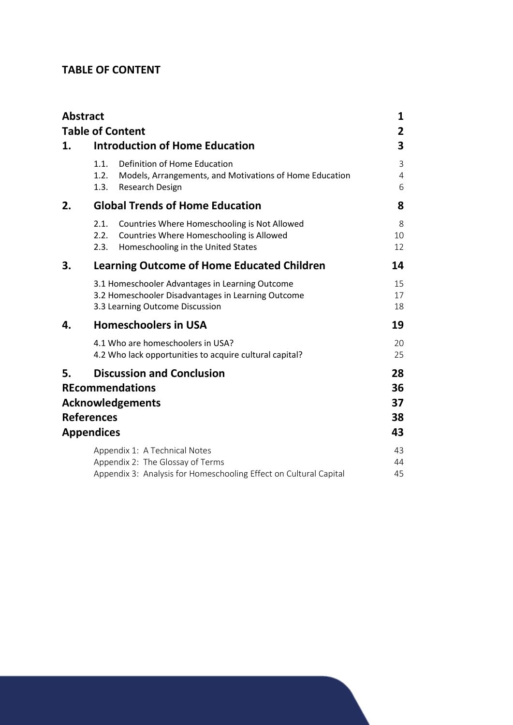## <span id="page-2-0"></span>**TABLE OF CONTENT**

| <b>Abstract</b>                              |                      |                                                                                                                                          | 1                          |
|----------------------------------------------|----------------------|------------------------------------------------------------------------------------------------------------------------------------------|----------------------------|
|                                              |                      | <b>Table of Content</b>                                                                                                                  | 2                          |
| 1.                                           |                      | <b>Introduction of Home Education</b>                                                                                                    | 3                          |
|                                              | 1.1.<br>1.2.<br>1.3. | Definition of Home Education<br>Models, Arrangements, and Motivations of Home Education<br>Research Design                               | 3<br>4<br>6                |
| 2.                                           |                      | <b>Global Trends of Home Education</b>                                                                                                   | 8                          |
|                                              | 2.1.<br>2.2.<br>2.3. | Countries Where Homeschooling is Not Allowed<br>Countries Where Homeschooling is Allowed<br>Homeschooling in the United States           | 8<br>10<br>12              |
| 3.                                           |                      | <b>Learning Outcome of Home Educated Children</b>                                                                                        | 14                         |
|                                              |                      | 3.1 Homeschooler Advantages in Learning Outcome<br>3.2 Homeschooler Disadvantages in Learning Outcome<br>3.3 Learning Outcome Discussion | 15<br>17<br>18             |
| 4.                                           |                      | <b>Homeschoolers in USA</b>                                                                                                              | 19                         |
|                                              |                      | 4.1 Who are homeschoolers in USA?<br>4.2 Who lack opportunities to acquire cultural capital?                                             | 20<br>25                   |
| 5.<br><b>References</b><br><b>Appendices</b> |                      | <b>Discussion and Conclusion</b><br><b>REcommendations</b><br><b>Acknowledgements</b>                                                    | 28<br>36<br>37<br>38<br>43 |
|                                              |                      | Appendix 1: A Technical Notes<br>Appendix 2: The Glossay of Terms<br>Appendix 3: Analysis for Homeschooling Effect on Cultural Capital   | 43<br>44<br>45             |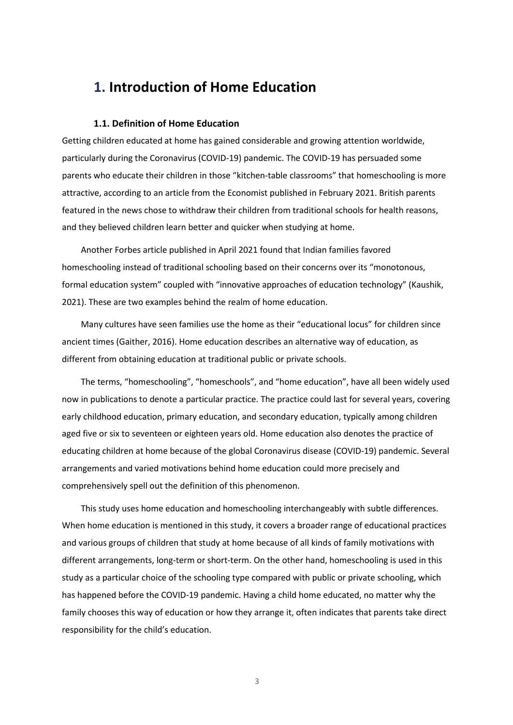# <span id="page-3-0"></span>**1. Introduction of Home Education**

#### <span id="page-3-1"></span>**1.1. Definition of Home Education**

Getting children educated at home has gained considerable and growing attention worldwide, particularly during the Coronavirus (COVID-19) pandemic. The COVID-19 has persuaded some parents who educate their children in those "kitchen-table classrooms" that homeschooling is more attractive, according to an article from the Economist published in February 2021. British parents featured in the news chose to withdraw their children from traditional schools for health reasons, and they believed children learn better and quicker when studying at home.

Another Forbes article published in April 2021 found that Indian families favored homeschooling instead of traditional schooling based on their concerns over its "monotonous, formal education system" coupled with "innovative approaches of education technology" (Kaushik, 2021). These are two examples behind the realm of home education.

Many cultures have seen families use the home as their "educational locus" for children since ancient times (Gaither, 2016). Home education describes an alternative way of education, as different from obtaining education at traditional public or private schools.

The terms, "homeschooling", "homeschools", and "home education", have all been widely used now in publications to denote a particular practice. The practice could last for several years, covering early childhood education, primary education, and secondary education, typically among children aged five or six to seventeen or eighteen years old. Home education also denotes the practice of educating children at home because of the global Coronavirus disease (COVID-19) pandemic. Several arrangements and varied motivations behind home education could more precisely and comprehensively spell out the definition of this phenomenon.

This study uses home education and homeschooling interchangeably with subtle differences. When home education is mentioned in this study, it covers a broader range of educational practices and various groups of children that study at home because of all kinds of family motivations with different arrangements, long-term or short-term. On the other hand, homeschooling is used in this study as a particular choice of the schooling type compared with public or private schooling, which has happened before the COVID-19 pandemic. Having a child home educated, no matter why the family chooses this way of education or how they arrange it, often indicates that parents take direct responsibility for the child's education.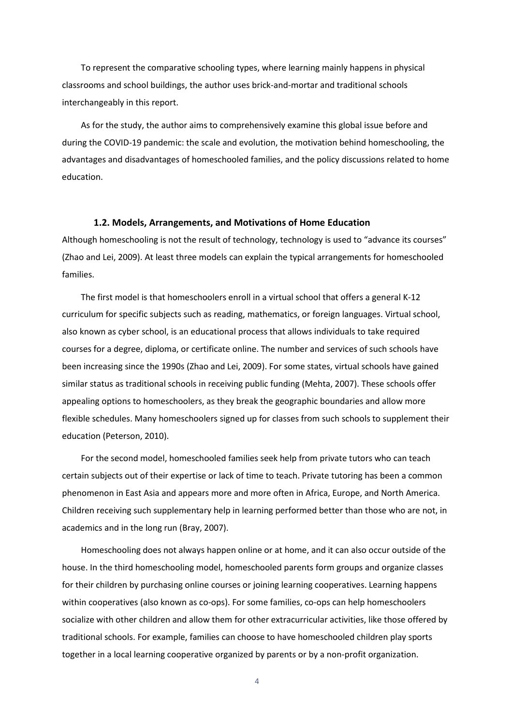To represent the comparative schooling types, where learning mainly happens in physical classrooms and school buildings, the author uses brick-and-mortar and traditional schools interchangeably in this report.

As for the study, the author aims to comprehensively examine this global issue before and during the COVID-19 pandemic: the scale and evolution, the motivation behind homeschooling, the advantages and disadvantages of homeschooled families, and the policy discussions related to home education.

#### <span id="page-4-0"></span>**1.2. Models, Arrangements, and Motivations of Home Education**

Although homeschooling is not the result of technology, technology is used to "advance its courses" (Zhao and Lei, 2009). At least three models can explain the typical arrangements for homeschooled families.

The first model is that homeschoolers enroll in a virtual school that offers a general K-12 curriculum for specific subjects such as reading, mathematics, or foreign languages. Virtual school, also known as cyber school, is an educational process that allows individuals to take required courses for a degree, diploma, or certificate online. The number and services of such schools have been increasing since the 1990s (Zhao and Lei, 2009). For some states, virtual schools have gained similar status as traditional schools in receiving public funding (Mehta, 2007). These schools offer appealing options to homeschoolers, as they break the geographic boundaries and allow more flexible schedules. Many homeschoolers signed up for classes from such schools to supplement their education (Peterson, 2010).

For the second model, homeschooled families seek help from private tutors who can teach certain subjects out of their expertise or lack of time to teach. Private tutoring has been a common phenomenon in East Asia and appears more and more often in Africa, Europe, and North America. Children receiving such supplementary help in learning performed better than those who are not, in academics and in the long run (Bray, 2007).

Homeschooling does not always happen online or at home, and it can also occur outside of the house. In the third homeschooling model, homeschooled parents form groups and organize classes for their children by purchasing online courses or joining learning cooperatives. Learning happens within cooperatives (also known as co-ops). For some families, co-ops can help homeschoolers socialize with other children and allow them for other extracurricular activities, like those offered by traditional schools. For example, families can choose to have homeschooled children play sports together in a local learning cooperative organized by parents or by a non-profit organization.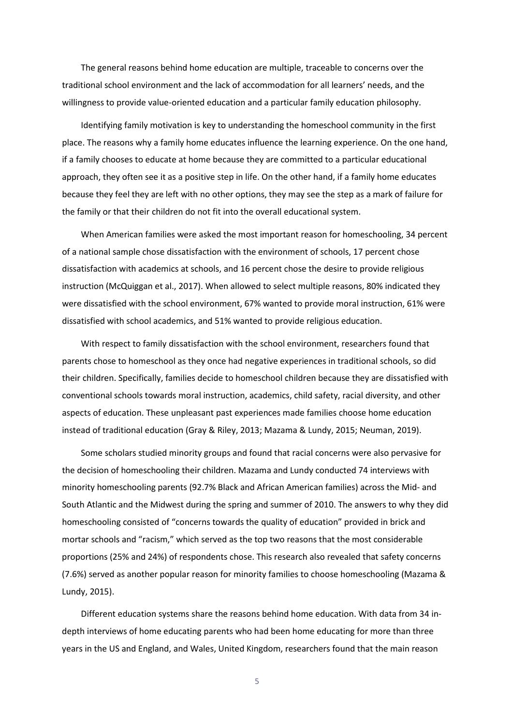The general reasons behind home education are multiple, traceable to concerns over the traditional school environment and the lack of accommodation for all learners' needs, and the willingness to provide value-oriented education and a particular family education philosophy.

Identifying family motivation is key to understanding the homeschool community in the first place. The reasons why a family home educates influence the learning experience. On the one hand, if a family chooses to educate at home because they are committed to a particular educational approach, they often see it as a positive step in life. On the other hand, if a family home educates because they feel they are left with no other options, they may see the step as a mark of failure for the family or that their children do not fit into the overall educational system.

When American families were asked the most important reason for homeschooling, 34 percent of a national sample chose dissatisfaction with the environment of schools, 17 percent chose dissatisfaction with academics at schools, and 16 percent chose the desire to provide religious instruction (McQuiggan et al., 2017). When allowed to select multiple reasons, 80% indicated they were dissatisfied with the school environment, 67% wanted to provide moral instruction, 61% were dissatisfied with school academics, and 51% wanted to provide religious education.

With respect to family dissatisfaction with the school environment, researchers found that parents chose to homeschool as they once had negative experiences in traditional schools, so did their children. Specifically, families decide to homeschool children because they are dissatisfied with conventional schools towards moral instruction, academics, child safety, racial diversity, and other aspects of education. These unpleasant past experiences made families choose home education instead of traditional education (Gray & Riley, 2013; Mazama & Lundy, 2015; Neuman, 2019).

Some scholars studied minority groups and found that racial concerns were also pervasive for the decision of homeschooling their children. Mazama and Lundy conducted 74 interviews with minority homeschooling parents (92.7% Black and African American families) across the Mid- and South Atlantic and the Midwest during the spring and summer of 2010. The answers to why they did homeschooling consisted of "concerns towards the quality of education" provided in brick and mortar schools and "racism," which served as the top two reasons that the most considerable proportions (25% and 24%) of respondents chose. This research also revealed that safety concerns (7.6%) served as another popular reason for minority families to choose homeschooling (Mazama & Lundy, 2015).

Different education systems share the reasons behind home education. With data from 34 indepth interviews of home educating parents who had been home educating for more than three years in the US and England, and Wales, United Kingdom, researchers found that the main reason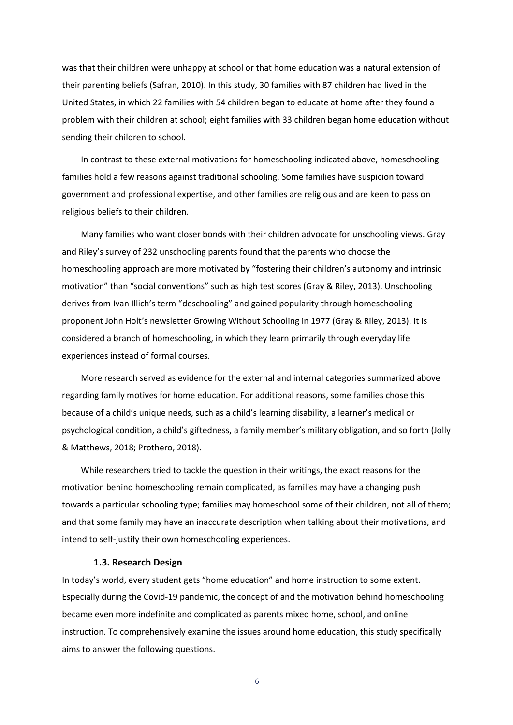was that their children were unhappy at school or that home education was a natural extension of their parenting beliefs (Safran, 2010). In this study, 30 families with 87 children had lived in the United States, in which 22 families with 54 children began to educate at home after they found a problem with their children at school; eight families with 33 children began home education without sending their children to school.

In contrast to these external motivations for homeschooling indicated above, homeschooling families hold a few reasons against traditional schooling. Some families have suspicion toward government and professional expertise, and other families are religious and are keen to pass on religious beliefs to their children.

Many families who want closer bonds with their children advocate for unschooling views. Gray and Riley's survey of 232 unschooling parents found that the parents who choose the homeschooling approach are more motivated by "fostering their children's autonomy and intrinsic motivation" than "social conventions" such as high test scores (Gray & Riley, 2013). Unschooling derives from Ivan Illich's term "deschooling" and gained popularity through homeschooling proponent John Holt's newsletter Growing Without Schooling in 1977 (Gray & Riley, 2013). It is considered a branch of homeschooling, in which they learn primarily through everyday life experiences instead of formal courses.

More research served as evidence for the external and internal categories summarized above regarding family motives for home education. For additional reasons, some families chose this because of a child's unique needs, such as a child's learning disability, a learner's medical or psychological condition, a child's giftedness, a family member's military obligation, and so forth (Jolly & Matthews, 2018; Prothero, 2018).

While researchers tried to tackle the question in their writings, the exact reasons for the motivation behind homeschooling remain complicated, as families may have a changing push towards a particular schooling type; families may homeschool some of their children, not all of them; and that some family may have an inaccurate description when talking about their motivations, and intend to self-justify their own homeschooling experiences.

#### <span id="page-6-0"></span>**1.3. Research Design**

In today's world, every student gets "home education" and home instruction to some extent. Especially during the Covid-19 pandemic, the concept of and the motivation behind homeschooling became even more indefinite and complicated as parents mixed home, school, and online instruction. To comprehensively examine the issues around home education, this study specifically aims to answer the following questions.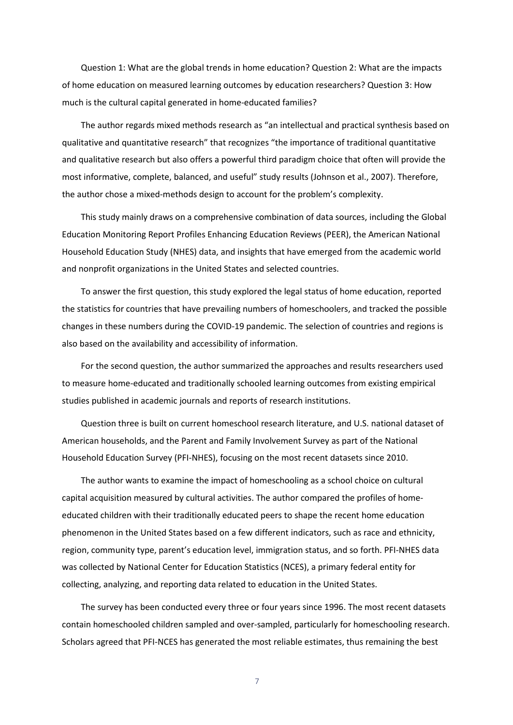Question 1: What are the global trends in home education? Question 2: What are the impacts of home education on measured learning outcomes by education researchers? Question 3: How much is the cultural capital generated in home-educated families?

The author regards mixed methods research as "an intellectual and practical synthesis based on qualitative and quantitative research" that recognizes "the importance of traditional quantitative and qualitative research but also offers a powerful third paradigm choice that often will provide the most informative, complete, balanced, and useful" study results (Johnson et al., 2007). Therefore, the author chose a mixed-methods design to account for the problem's complexity.

This study mainly draws on a comprehensive combination of data sources, including the Global Education Monitoring Report Profiles Enhancing Education Reviews (PEER), the American National Household Education Study (NHES) data, and insights that have emerged from the academic world and nonprofit organizations in the United States and selected countries.

To answer the first question, this study explored the legal status of home education, reported the statistics for countries that have prevailing numbers of homeschoolers, and tracked the possible changes in these numbers during the COVID-19 pandemic. The selection of countries and regions is also based on the availability and accessibility of information.

For the second question, the author summarized the approaches and results researchers used to measure home-educated and traditionally schooled learning outcomes from existing empirical studies published in academic journals and reports of research institutions.

Question three is built on current homeschool research literature, and U.S. national dataset of American households, and the Parent and Family Involvement Survey as part of the National Household Education Survey (PFI-NHES), focusing on the most recent datasets since 2010.

The author wants to examine the impact of homeschooling as a school choice on cultural capital acquisition measured by cultural activities. The author compared the profiles of homeeducated children with their traditionally educated peers to shape the recent home education phenomenon in the United States based on a few different indicators, such as race and ethnicity, region, community type, parent's education level, immigration status, and so forth. PFI-NHES data was collected by National Center for Education Statistics (NCES), a primary federal entity for collecting, analyzing, and reporting data related to education in the United States.

The survey has been conducted every three or four years since 1996. The most recent datasets contain homeschooled children sampled and over-sampled, particularly for homeschooling research. Scholars agreed that PFI-NCES has generated the most reliable estimates, thus remaining the best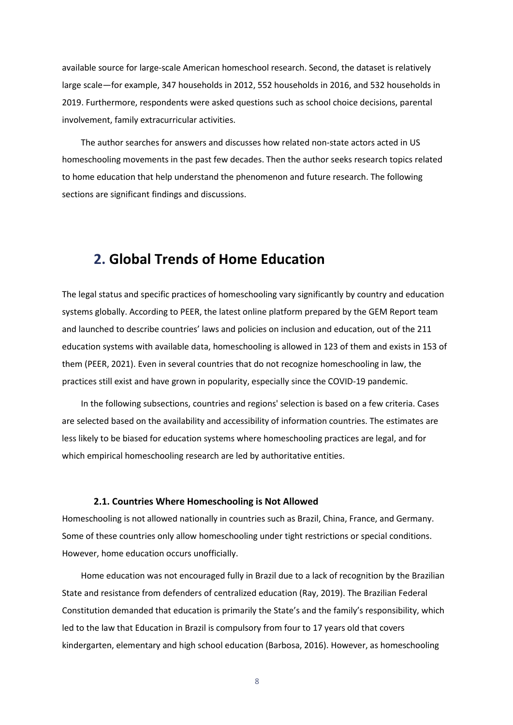available source for large-scale American homeschool research. Second, the dataset is relatively large scale—for example, 347 households in 2012, 552 households in 2016, and 532 households in 2019. Furthermore, respondents were asked questions such as school choice decisions, parental involvement, family extracurricular activities.

The author searches for answers and discusses how related non-state actors acted in US homeschooling movements in the past few decades. Then the author seeks research topics related to home education that help understand the phenomenon and future research. The following sections are significant findings and discussions.

# <span id="page-8-0"></span>**2. Global Trends of Home Education**

The legal status and specific practices of homeschooling vary significantly by country and education systems globally. According to PEER, the latest online platform prepared by the GEM Report team and launched to describe countries' laws and policies on inclusion and education, out of the 211 education systems with available data, homeschooling is allowed in 123 of them and exists in 153 of them (PEER, 2021). Even in several countries that do not recognize homeschooling in law, the practices still exist and have grown in popularity, especially since the COVID-19 pandemic.

In the following subsections, countries and regions' selection is based on a few criteria. Cases are selected based on the availability and accessibility of information countries. The estimates are less likely to be biased for education systems where homeschooling practices are legal, and for which empirical homeschooling research are led by authoritative entities.

#### <span id="page-8-1"></span>**2.1. Countries Where Homeschooling is Not Allowed**

Homeschooling is not allowed nationally in countries such as Brazil, China, France, and Germany. Some of these countries only allow homeschooling under tight restrictions or special conditions. However, home education occurs unofficially.

Home education was not encouraged fully in Brazil due to a lack of recognition by the Brazilian State and resistance from defenders of centralized education (Ray, 2019). The Brazilian Federal Constitution demanded that education is primarily the State's and the family's responsibility, which led to the law that Education in Brazil is compulsory from four to 17 years old that covers kindergarten, elementary and high school education (Barbosa, 2016). However, as homeschooling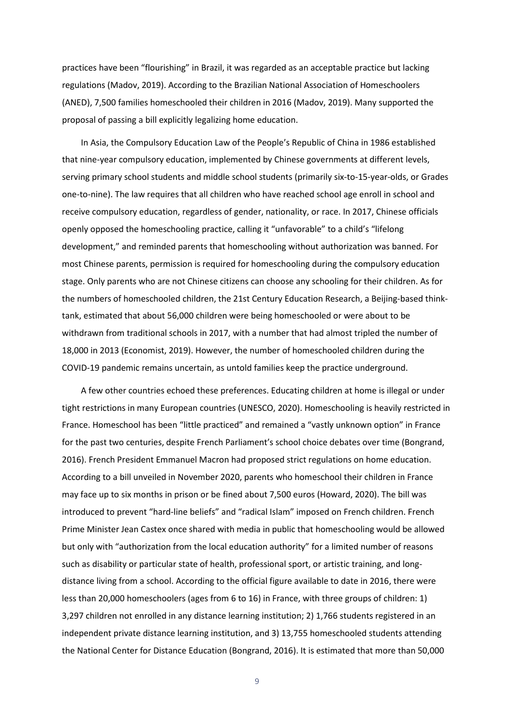practices have been "flourishing" in Brazil, it was regarded as an acceptable practice but lacking regulations (Madov, 2019). According to the Brazilian National Association of Homeschoolers (ANED), 7,500 families homeschooled their children in 2016 (Madov, 2019). Many supported the proposal of passing a bill explicitly legalizing home education.

In Asia, the Compulsory Education Law of the People's Republic of China in 1986 established that nine-year compulsory education, implemented by Chinese governments at different levels, serving primary school students and middle school students (primarily six-to-15-year-olds, or Grades one-to-nine). The law requires that all children who have reached school age enroll in school and receive compulsory education, regardless of gender, nationality, or race. In 2017, Chinese officials openly opposed the homeschooling practice, calling it "unfavorable" to a child's "lifelong development," and reminded parents that homeschooling without authorization was banned. For most Chinese parents, permission is required for homeschooling during the compulsory education stage. Only parents who are not Chinese citizens can choose any schooling for their children. As for the numbers of homeschooled children, the 21st Century Education Research, a Beijing-based thinktank, estimated that about 56,000 children were being homeschooled or were about to be withdrawn from traditional schools in 2017, with a number that had almost tripled the number of 18,000 in 2013 (Economist, 2019). However, the number of homeschooled children during the COVID-19 pandemic remains uncertain, as untold families keep the practice underground.

A few other countries echoed these preferences. Educating children at home is illegal or under tight restrictions in many European countries (UNESCO, 2020). Homeschooling is heavily restricted in France. Homeschool has been "little practiced" and remained a "vastly unknown option" in France for the past two centuries, despite French Parliament's school choice debates over time (Bongrand, 2016). French President Emmanuel Macron had proposed strict regulations on home education. According to a bill unveiled in November 2020, parents who homeschool their children in France may face up to six months in prison or be fined about 7,500 euros (Howard, 2020). The bill was introduced to prevent "hard-line beliefs" and "radical Islam" imposed on French children. French Prime Minister Jean Castex once shared with media in public that homeschooling would be allowed but only with "authorization from the local education authority" for a limited number of reasons such as disability or particular state of health, professional sport, or artistic training, and longdistance living from a school. According to the official figure available to date in 2016, there were less than 20,000 homeschoolers (ages from 6 to 16) in France, with three groups of children: 1) 3,297 children not enrolled in any distance learning institution; 2) 1,766 students registered in an independent private distance learning institution, and 3) 13,755 homeschooled students attending the National Center for Distance Education (Bongrand, 2016). It is estimated that more than 50,000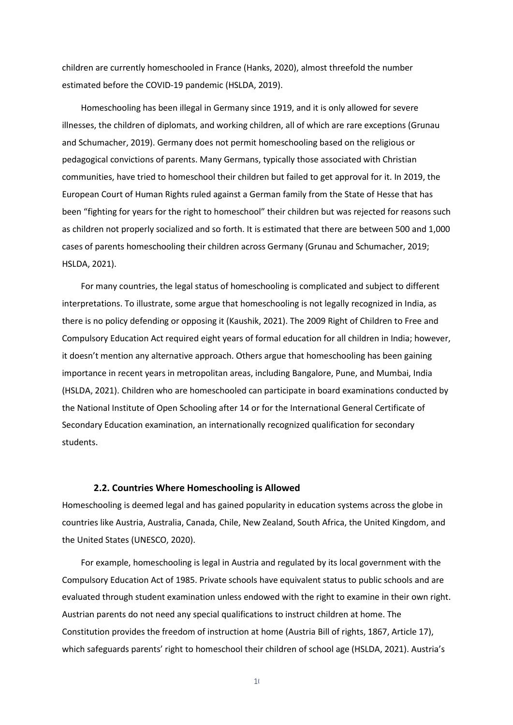children are currently homeschooled in France (Hanks, 2020), almost threefold the number estimated before the COVID-19 pandemic (HSLDA, 2019).

Homeschooling has been illegal in Germany since 1919, and it is only allowed for severe illnesses, the children of diplomats, and working children, all of which are rare exceptions (Grunau and Schumacher, 2019). Germany does not permit homeschooling based on the religious or pedagogical convictions of parents. Many Germans, typically those associated with Christian communities, have tried to homeschool their children but failed to get approval for it. In 2019, the European Court of Human Rights ruled against a German family from the State of Hesse that has been "fighting for years for the right to homeschool" their children but was rejected for reasons such as children not properly socialized and so forth. It is estimated that there are between 500 and 1,000 cases of parents homeschooling their children across Germany (Grunau and Schumacher, 2019; HSLDA, 2021).

For many countries, the legal status of homeschooling is complicated and subject to different interpretations. To illustrate, some argue that homeschooling is not legally recognized in India, as there is no policy defending or opposing it (Kaushik, 2021). The 2009 Right of Children to Free and Compulsory Education Act required eight years of formal education for all children in India; however, it doesn't mention any alternative approach. Others argue that homeschooling has been gaining importance in recent years in metropolitan areas, including Bangalore, Pune, and Mumbai, India (HSLDA, 2021). Children who are homeschooled can participate in board examinations conducted by the National Institute of Open Schooling after 14 or for the International General Certificate of Secondary Education examination, an internationally recognized qualification for secondary students.

#### <span id="page-10-0"></span>**2.2. Countries Where Homeschooling is Allowed**

Homeschooling is deemed legal and has gained popularity in education systems across the globe in countries like Austria, Australia, Canada, Chile, New Zealand, South Africa, the United Kingdom, and the United States (UNESCO, 2020).

For example, homeschooling is legal in Austria and regulated by its local government with the Compulsory Education Act of 1985. Private schools have equivalent status to public schools and are evaluated through student examination unless endowed with the right to examine in their own right. Austrian parents do not need any special qualifications to instruct children at home. The Constitution provides the freedom of instruction at home (Austria Bill of rights, 1867, Article 17), which safeguards parents' right to homeschool their children of school age (HSLDA, 2021). Austria's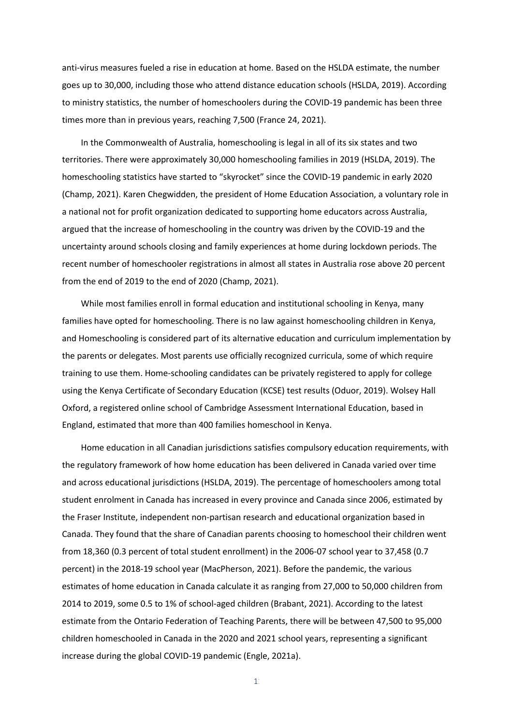anti-virus measures fueled a rise in education at home. Based on the HSLDA estimate, the number goes up to 30,000, including those who attend distance education schools (HSLDA, 2019). According to ministry statistics, the number of homeschoolers during the COVID-19 pandemic has been three times more than in previous years, reaching 7,500 (France 24, 2021).

In the Commonwealth of Australia, homeschooling is legal in all of its six states and two territories. There were approximately 30,000 homeschooling families in 2019 (HSLDA, 2019). The homeschooling statistics have started to "skyrocket" since the COVID-19 pandemic in early 2020 (Champ, 2021). Karen Chegwidden, the president of Home Education Association, a voluntary role in a national not for profit organization dedicated to supporting home educators across Australia, argued that the increase of homeschooling in the country was driven by the COVID-19 and the uncertainty around schools closing and family experiences at home during lockdown periods. The recent number of homeschooler registrations in almost all states in Australia rose above 20 percent from the end of 2019 to the end of 2020 (Champ, 2021).

While most families enroll in formal education and institutional schooling in Kenya, many families have opted for homeschooling. There is no law against homeschooling children in Kenya, and Homeschooling is considered part of its alternative education and curriculum implementation by the parents or delegates. Most parents use officially recognized curricula, some of which require training to use them. Home-schooling candidates can be privately registered to apply for college using the Kenya Certificate of Secondary Education (KCSE) test results (Oduor, 2019). Wolsey Hall Oxford, a registered online school of Cambridge Assessment International Education, based in England, estimated that more than 400 families homeschool in Kenya.

Home education in all Canadian jurisdictions satisfies compulsory education requirements, with the regulatory framework of how home education has been delivered in Canada varied over time and across educational jurisdictions (HSLDA, 2019). The percentage of homeschoolers among total student enrolment in Canada has increased in every province and Canada since 2006, estimated by the Fraser Institute, independent non-partisan research and educational organization based in Canada. They found that the share of Canadian parents choosing to homeschool their children went from 18,360 (0.3 percent of total student enrollment) in the 2006-07 school year to 37,458 (0.7 percent) in the 2018-19 school year (MacPherson, 2021). Before the pandemic, the various estimates of home education in Canada calculate it as ranging from 27,000 to 50,000 children from 2014 to 2019, some 0.5 to 1% of school-aged children (Brabant, 2021). According to the latest estimate from the Ontario Federation of Teaching Parents, there will be between 47,500 to 95,000 children homeschooled in Canada in the 2020 and 2021 school years, representing a significant increase during the global COVID-19 pandemic (Engle, 2021a).

 $1<sup>1</sup>$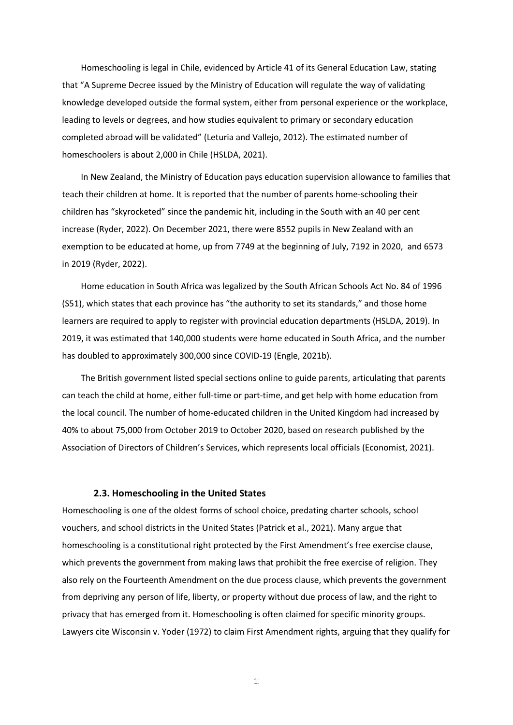Homeschooling is legal in Chile, evidenced by Article 41 of its General Education Law, stating that "A Supreme Decree issued by the Ministry of Education will regulate the way of validating knowledge developed outside the formal system, either from personal experience or the workplace, leading to levels or degrees, and how studies equivalent to primary or secondary education completed abroad will be validated" (Leturia and Vallejo, 2012). The estimated number of homeschoolers is about 2,000 in Chile (HSLDA, 2021).

In New Zealand, the Ministry of Education pays education supervision allowance to families that teach their children at home. It is reported that the number of parents home-schooling their children has "skyrocketed" since the pandemic hit, including in the South with an 40 per cent increase (Ryder, 2022). On December 2021, there were 8552 pupils in New Zealand with an exemption to be educated at home, up from 7749 at the beginning of July, 7192 in 2020, and 6573 in 2019 (Ryder, 2022).

Home education in South Africa was legalized by the South African Schools Act No. 84 of 1996 (S51), which states that each province has "the authority to set its standards," and those home learners are required to apply to register with provincial education departments (HSLDA, 2019). In 2019, it was estimated that 140,000 students were home educated in South Africa, and the number has doubled to approximately 300,000 since COVID-19 (Engle, 2021b).

The British government listed special sections online to guide parents, articulating that parents can teach the child at home, either full-time or part-time, and get help with home education from the local council. The number of home-educated children in the United Kingdom had increased by 40% to about 75,000 from October 2019 to October 2020, based on research published by the Association of Directors of Children's Services, which represents local officials (Economist, 2021).

#### <span id="page-12-0"></span>**2.3. Homeschooling in the United States**

Homeschooling is one of the oldest forms of school choice, predating charter schools, school vouchers, and school districts in the United States (Patrick et al., 2021). Many argue that homeschooling is a constitutional right protected by the First Amendment's free exercise clause, which prevents the government from making laws that prohibit the free exercise of religion. They also rely on the Fourteenth Amendment on the due process clause, which prevents the government from depriving any person of life, liberty, or property without due process of law, and the right to privacy that has emerged from it. Homeschooling is often claimed for specific minority groups. Lawyers cite Wisconsin v. Yoder (1972) to claim First Amendment rights, arguing that they qualify for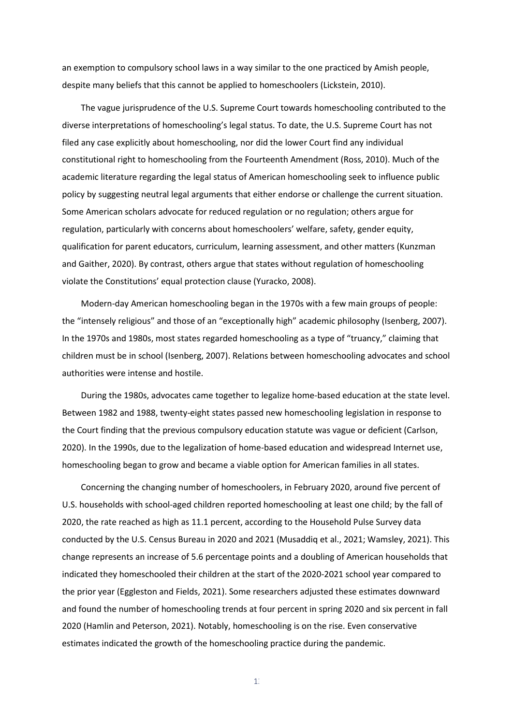an exemption to compulsory school laws in a way similar to the one practiced by Amish people, despite many beliefs that this cannot be applied to homeschoolers (Lickstein, 2010).

The vague jurisprudence of the U.S. Supreme Court towards homeschooling contributed to the diverse interpretations of homeschooling's legal status. To date, the U.S. Supreme Court has not filed any case explicitly about homeschooling, nor did the lower Court find any individual constitutional right to homeschooling from the Fourteenth Amendment (Ross, 2010). Much of the academic literature regarding the legal status of American homeschooling seek to influence public policy by suggesting neutral legal arguments that either endorse or challenge the current situation. Some American scholars advocate for reduced regulation or no regulation; others argue for regulation, particularly with concerns about homeschoolers' welfare, safety, gender equity, qualification for parent educators, curriculum, learning assessment, and other matters (Kunzman and Gaither, 2020). By contrast, others argue that states without regulation of homeschooling violate the Constitutions' equal protection clause (Yuracko, 2008).

Modern-day American homeschooling began in the 1970s with a few main groups of people: the "intensely religious" and those of an "exceptionally high" academic philosophy (Isenberg, 2007). In the 1970s and 1980s, most states regarded homeschooling as a type of "truancy," claiming that children must be in school (Isenberg, 2007). Relations between homeschooling advocates and school authorities were intense and hostile.

During the 1980s, advocates came together to legalize home-based education at the state level. Between 1982 and 1988, twenty-eight states passed new homeschooling legislation in response to the Court finding that the previous compulsory education statute was vague or deficient (Carlson, 2020). In the 1990s, due to the legalization of home-based education and widespread Internet use, homeschooling began to grow and became a viable option for American families in all states.

Concerning the changing number of homeschoolers, in February 2020, around five percent of U.S. households with school-aged children reported homeschooling at least one child; by the fall of 2020, the rate reached as high as 11.1 percent, according to the Household Pulse Survey data conducted by the U.S. Census Bureau in 2020 and 2021 (Musaddiq et al., 2021; Wamsley, 2021). This change represents an increase of 5.6 percentage points and a doubling of American households that indicated they homeschooled their children at the start of the 2020-2021 school year compared to the prior year (Eggleston and Fields, 2021). Some researchers adjusted these estimates downward and found the number of homeschooling trends at four percent in spring 2020 and six percent in fall 2020 (Hamlin and Peterson, 2021). Notably, homeschooling is on the rise. Even conservative estimates indicated the growth of the homeschooling practice during the pandemic.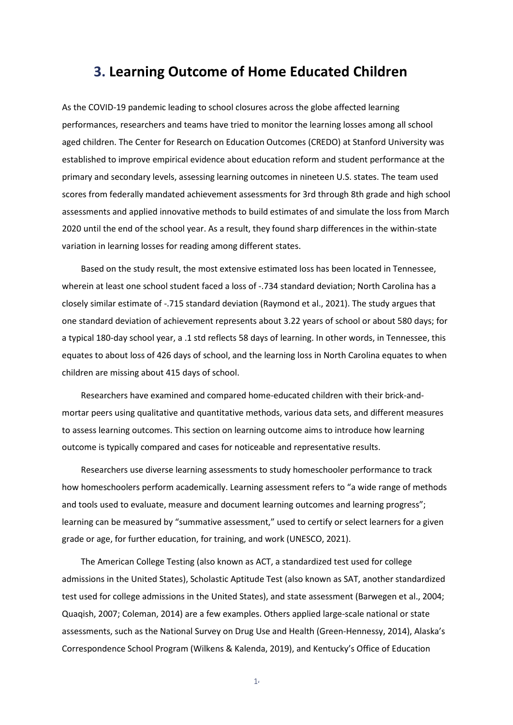# <span id="page-14-0"></span>**3. Learning Outcome of Home Educated Children**

As the COVID-19 pandemic leading to school closures across the globe affected learning performances, researchers and teams have tried to monitor the learning losses among all school aged children. The Center for Research on Education Outcomes (CREDO) at Stanford University was established to improve empirical evidence about education reform and student performance at the primary and secondary levels, assessing learning outcomes in nineteen U.S. states. The team used scores from federally mandated achievement assessments for 3rd through 8th grade and high school assessments and applied innovative methods to build estimates of and simulate the loss from March 2020 until the end of the school year. As a result, they found sharp differences in the within-state variation in learning losses for reading among different states.

Based on the study result, the most extensive estimated loss has been located in Tennessee, wherein at least one school student faced a loss of -.734 standard deviation; North Carolina has a closely similar estimate of -.715 standard deviation (Raymond et al., 2021). The study argues that one standard deviation of achievement represents about 3.22 years of school or about 580 days; for a typical 180-day school year, a .1 std reflects 58 days of learning. In other words, in Tennessee, this equates to about loss of 426 days of school, and the learning loss in North Carolina equates to when children are missing about 415 days of school.

Researchers have examined and compared home-educated children with their brick-andmortar peers using qualitative and quantitative methods, various data sets, and different measures to assess learning outcomes. This section on learning outcome aims to introduce how learning outcome is typically compared and cases for noticeable and representative results.

Researchers use diverse learning assessments to study homeschooler performance to track how homeschoolers perform academically. Learning assessment refers to "a wide range of methods and tools used to evaluate, measure and document learning outcomes and learning progress"; learning can be measured by "summative assessment," used to certify or select learners for a given grade or age, for further education, for training, and work (UNESCO, 2021).

The American College Testing (also known as ACT, a standardized test used for college admissions in the United States), Scholastic Aptitude Test (also known as SAT, another standardized test used for college admissions in the United States), and state assessment (Barwegen et al., 2004; Quaqish, 2007; Coleman, 2014) are a few examples. Others applied large-scale national or state assessments, such as the National Survey on Drug Use and Health (Green-Hennessy, 2014), Alaska's Correspondence School Program (Wilkens & Kalenda, 2019), and Kentucky's Office of Education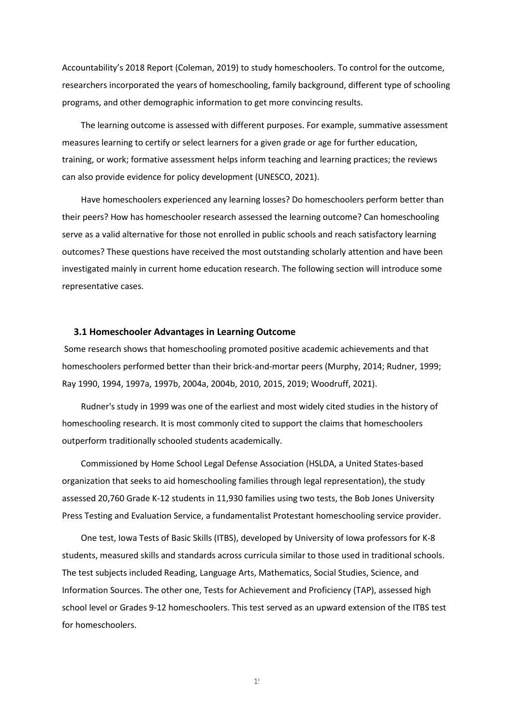Accountability's 2018 Report (Coleman, 2019) to study homeschoolers. To control for the outcome, researchers incorporated the years of homeschooling, family background, different type of schooling programs, and other demographic information to get more convincing results.

The learning outcome is assessed with different purposes. For example, summative assessment measures learning to certify or select learners for a given grade or age for further education, training, or work; formative assessment helps inform teaching and learning practices; the reviews can also provide evidence for policy development (UNESCO, 2021).

Have homeschoolers experienced any learning losses? Do homeschoolers perform better than their peers? How has homeschooler research assessed the learning outcome? Can homeschooling serve as a valid alternative for those not enrolled in public schools and reach satisfactory learning outcomes? These questions have received the most outstanding scholarly attention and have been investigated mainly in current home education research. The following section will introduce some representative cases.

#### <span id="page-15-0"></span> **3.1 Homeschooler Advantages in Learning Outcome**

Some research shows that homeschooling promoted positive academic achievements and that homeschoolers performed better than their brick-and-mortar peers (Murphy, 2014; Rudner, 1999; Ray 1990, 1994, 1997a, 1997b, 2004a, 2004b, 2010, 2015, 2019; Woodruff, 2021).

Rudner's study in 1999 was one of the earliest and most widely cited studies in the history of homeschooling research. It is most commonly cited to support the claims that homeschoolers outperform traditionally schooled students academically.

Commissioned by Home School Legal Defense Association (HSLDA, a United States-based organization that seeks to aid homeschooling families through legal representation), the study assessed 20,760 Grade K-12 students in 11,930 families using two tests, the Bob Jones University Press Testing and Evaluation Service, a fundamentalist Protestant homeschooling service provider.

One test, Iowa Tests of Basic Skills (ITBS), developed by University of Iowa professors for K-8 students, measured skills and standards across curricula similar to those used in traditional schools. The test subjects included Reading, Language Arts, Mathematics, Social Studies, Science, and Information Sources. The other one, Tests for Achievement and Proficiency (TAP), assessed high school level or Grades 9-12 homeschoolers. This test served as an upward extension of the ITBS test for homeschoolers.

 $1!$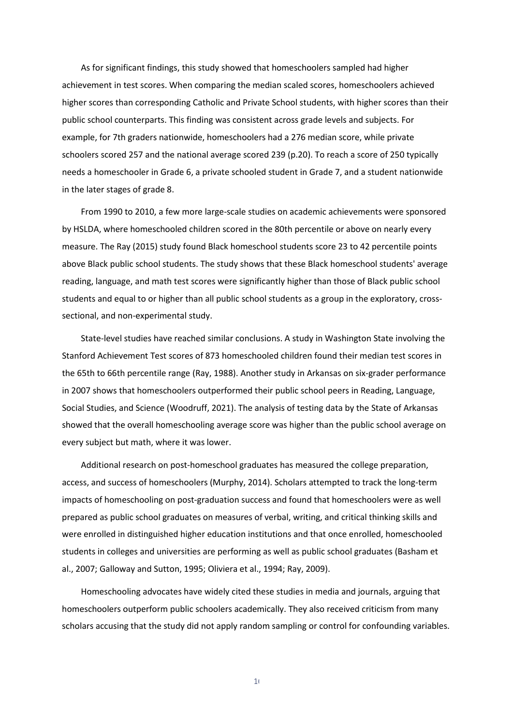As for significant findings, this study showed that homeschoolers sampled had higher achievement in test scores. When comparing the median scaled scores, homeschoolers achieved higher scores than corresponding Catholic and Private School students, with higher scores than their public school counterparts. This finding was consistent across grade levels and subjects. For example, for 7th graders nationwide, homeschoolers had a 276 median score, while private schoolers scored 257 and the national average scored 239 (p.20). To reach a score of 250 typically needs a homeschooler in Grade 6, a private schooled student in Grade 7, and a student nationwide in the later stages of grade 8.

From 1990 to 2010, a few more large-scale studies on academic achievements were sponsored by HSLDA, where homeschooled children scored in the 80th percentile or above on nearly every measure. The Ray (2015) study found Black homeschool students score 23 to 42 percentile points above Black public school students. The study shows that these Black homeschool students' average reading, language, and math test scores were significantly higher than those of Black public school students and equal to or higher than all public school students as a group in the exploratory, crosssectional, and non-experimental study.

State-level studies have reached similar conclusions. A study in Washington State involving the Stanford Achievement Test scores of 873 homeschooled children found their median test scores in the 65th to 66th percentile range (Ray, 1988). Another study in Arkansas on six-grader performance in 2007 shows that homeschoolers outperformed their public school peers in Reading, Language, Social Studies, and Science (Woodruff, 2021). The analysis of testing data by the State of Arkansas showed that the overall homeschooling average score was higher than the public school average on every subject but math, where it was lower.

Additional research on post-homeschool graduates has measured the college preparation, access, and success of homeschoolers (Murphy, 2014). Scholars attempted to track the long-term impacts of homeschooling on post-graduation success and found that homeschoolers were as well prepared as public school graduates on measures of verbal, writing, and critical thinking skills and were enrolled in distinguished higher education institutions and that once enrolled, homeschooled students in colleges and universities are performing as well as public school graduates (Basham et al., 2007; Galloway and Sutton, 1995; Oliviera et al., 1994; Ray, 2009).

Homeschooling advocates have widely cited these studies in media and journals, arguing that homeschoolers outperform public schoolers academically. They also received criticism from many scholars accusing that the study did not apply random sampling or control for confounding variables.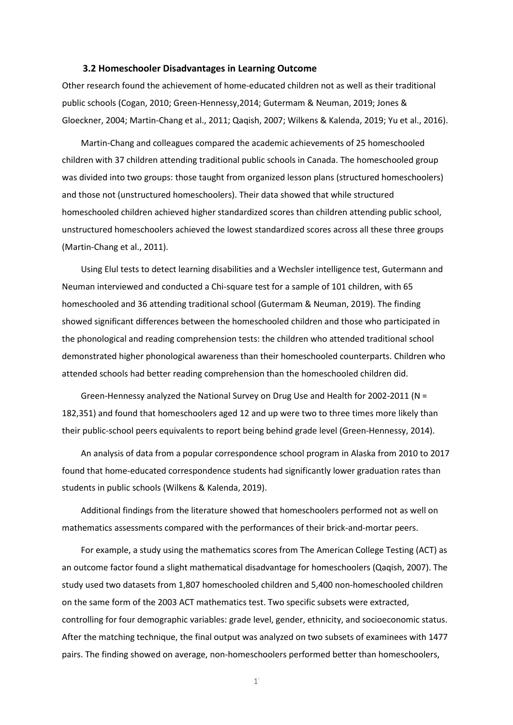#### **3.2 Homeschooler Disadvantages in Learning Outcome**

<span id="page-17-0"></span>Other research found the achievement of home-educated children not as well as their traditional public schools (Cogan, 2010; Green-Hennessy,2014; Gutermam & Neuman, 2019; Jones & Gloeckner, 2004; Martin-Chang et al., 2011; Qaqish, 2007; Wilkens & Kalenda, 2019; Yu et al., 2016).

Martin-Chang and colleagues compared the academic achievements of 25 homeschooled children with 37 children attending traditional public schools in Canada. The homeschooled group was divided into two groups: those taught from organized lesson plans (structured homeschoolers) and those not (unstructured homeschoolers). Their data showed that while structured homeschooled children achieved higher standardized scores than children attending public school, unstructured homeschoolers achieved the lowest standardized scores across all these three groups (Martin-Chang et al., 2011).

Using Elul tests to detect learning disabilities and a Wechsler intelligence test, Gutermann and Neuman interviewed and conducted a Chi-square test for a sample of 101 children, with 65 homeschooled and 36 attending traditional school (Gutermam & Neuman, 2019). The finding showed significant differences between the homeschooled children and those who participated in the phonological and reading comprehension tests: the children who attended traditional school demonstrated higher phonological awareness than their homeschooled counterparts. Children who attended schools had better reading comprehension than the homeschooled children did.

Green-Hennessy analyzed the National Survey on Drug Use and Health for 2002-2011 (N = 182,351) and found that homeschoolers aged 12 and up were two to three times more likely than their public-school peers equivalents to report being behind grade level (Green-Hennessy, 2014).

An analysis of data from a popular correspondence school program in Alaska from 2010 to 2017 found that home-educated correspondence students had significantly lower graduation rates than students in public schools (Wilkens & Kalenda, 2019).

Additional findings from the literature showed that homeschoolers performed not as well on mathematics assessments compared with the performances of their brick-and-mortar peers.

For example, a study using the mathematics scores from The American College Testing (ACT) as an outcome factor found a slight mathematical disadvantage for homeschoolers (Qaqish, 2007). The study used two datasets from 1,807 homeschooled children and 5,400 non-homeschooled children on the same form of the 2003 ACT mathematics test. Two specific subsets were extracted, controlling for four demographic variables: grade level, gender, ethnicity, and socioeconomic status. After the matching technique, the final output was analyzed on two subsets of examinees with 1477 pairs. The finding showed on average, non-homeschoolers performed better than homeschoolers,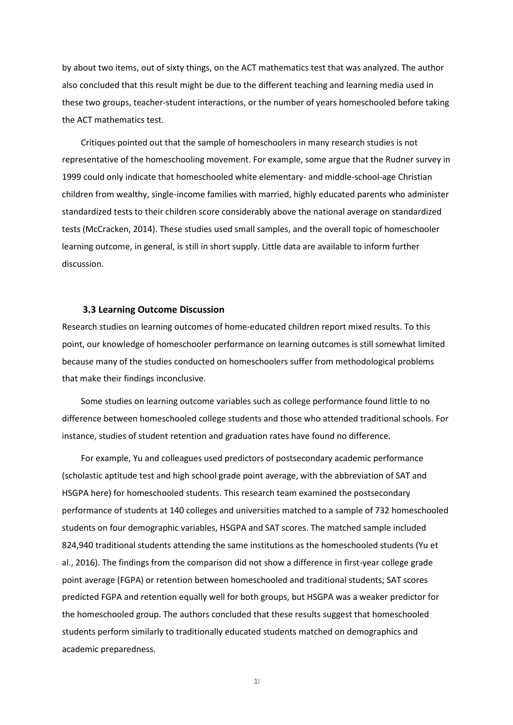by about two items, out of sixty things, on the ACT mathematics test that was analyzed. The author also concluded that this result might be due to the different teaching and learning media used in these two groups, teacher-student interactions, or the number of years homeschooled before taking the ACT mathematics test.

Critiques pointed out that the sample of homeschoolers in many research studies is not representative of the homeschooling movement. For example, some argue that the Rudner survey in 1999 could only indicate that homeschooled white elementary- and middle-school-age Christian children from wealthy, single-income families with married, highly educated parents who administer standardized tests to their children score considerably above the national average on standardized tests (McCracken, 2014). These studies used small samples, and the overall topic of homeschooler learning outcome, in general, is still in short supply. Little data are available to inform further discussion.

#### **3.3 Learning Outcome Discussion**

<span id="page-18-0"></span>Research studies on learning outcomes of home-educated children report mixed results. To this point, our knowledge of homeschooler performance on learning outcomes is still somewhat limited because many of the studies conducted on homeschoolers suffer from methodological problems that make their findings inconclusive.

Some studies on learning outcome variables such as college performance found little to no difference between homeschooled college students and those who attended traditional schools. For instance, studies of student retention and graduation rates have found no difference.

For example, Yu and colleagues used predictors of postsecondary academic performance (scholastic aptitude test and high school grade point average, with the abbreviation of SAT and HSGPA here) for homeschooled students. This research team examined the postsecondary performance of students at 140 colleges and universities matched to a sample of 732 homeschooled students on four demographic variables, HSGPA and SAT scores. The matched sample included 824,940 traditional students attending the same institutions as the homeschooled students (Yu et al., 2016). The findings from the comparison did not show a difference in first-year college grade point average (FGPA) or retention between homeschooled and traditional students; SAT scores predicted FGPA and retention equally well for both groups, but HSGPA was a weaker predictor for the homeschooled group. The authors concluded that these results suggest that homeschooled students perform similarly to traditionally educated students matched on demographics and academic preparedness.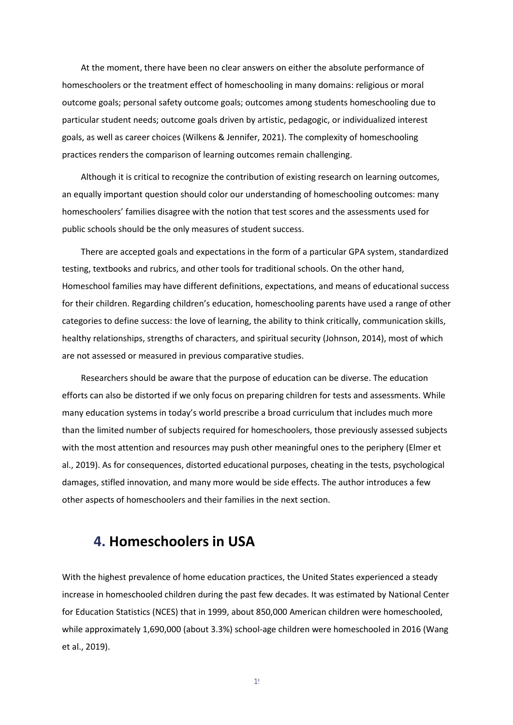At the moment, there have been no clear answers on either the absolute performance of homeschoolers or the treatment effect of homeschooling in many domains: religious or moral outcome goals; personal safety outcome goals; outcomes among students homeschooling due to particular student needs; outcome goals driven by artistic, pedagogic, or individualized interest goals, as well as career choices (Wilkens & Jennifer, 2021). The complexity of homeschooling practices renders the comparison of learning outcomes remain challenging.

Although it is critical to recognize the contribution of existing research on learning outcomes, an equally important question should color our understanding of homeschooling outcomes: many homeschoolers' families disagree with the notion that test scores and the assessments used for public schools should be the only measures of student success.

There are accepted goals and expectations in the form of a particular GPA system, standardized testing, textbooks and rubrics, and other tools for traditional schools. On the other hand, Homeschool families may have different definitions, expectations, and means of educational success for their children. Regarding children's education, homeschooling parents have used a range of other categories to define success: the love of learning, the ability to think critically, communication skills, healthy relationships, strengths of characters, and spiritual security (Johnson, 2014), most of which are not assessed or measured in previous comparative studies.

Researchers should be aware that the purpose of education can be diverse. The education efforts can also be distorted if we only focus on preparing children for tests and assessments. While many education systems in today's world prescribe a broad curriculum that includes much more than the limited number of subjects required for homeschoolers, those previously assessed subjects with the most attention and resources may push other meaningful ones to the periphery (Elmer et al., 2019). As for consequences, distorted educational purposes, cheating in the tests, psychological damages, stifled innovation, and many more would be side effects. The author introduces a few other aspects of homeschoolers and their families in the next section.

## <span id="page-19-0"></span>**4. Homeschoolers in USA**

With the highest prevalence of home education practices, the United States experienced a steady increase in homeschooled children during the past few decades. It was estimated by National Center for Education Statistics (NCES) that in 1999, about 850,000 American children were homeschooled, while approximately 1,690,000 (about 3.3%) school-age children were homeschooled in 2016 (Wang et al., 2019).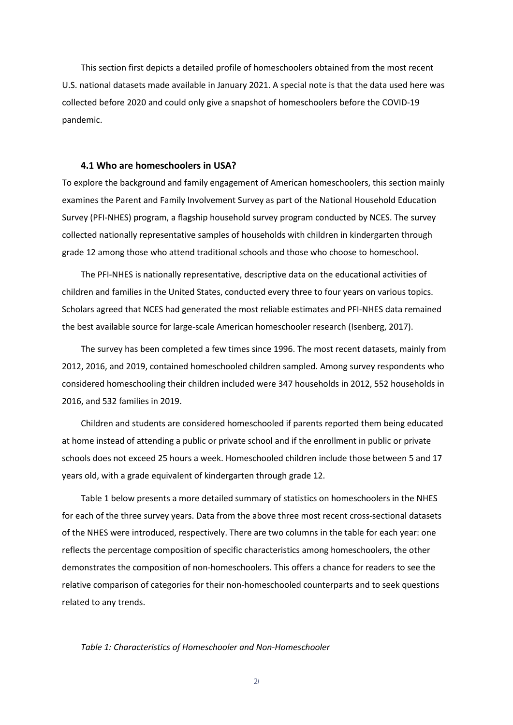This section first depicts a detailed profile of homeschoolers obtained from the most recent U.S. national datasets made available in January 2021. A special note is that the data used here was collected before 2020 and could only give a snapshot of homeschoolers before the COVID-19 pandemic.

#### <span id="page-20-0"></span> **4.1 Who are homeschoolers in USA?**

To explore the background and family engagement of American homeschoolers, this section mainly examines the Parent and Family Involvement Survey as part of the National Household Education Survey (PFI-NHES) program, a flagship household survey program conducted by NCES. The survey collected nationally representative samples of households with children in kindergarten through grade 12 among those who attend traditional schools and those who choose to homeschool.

The PFI-NHES is nationally representative, descriptive data on the educational activities of children and families in the United States, conducted every three to four years on various topics. Scholars agreed that NCES had generated the most reliable estimates and PFI-NHES data remained the best available source for large-scale American homeschooler research (Isenberg, 2017).

The survey has been completed a few times since 1996. The most recent datasets, mainly from 2012, 2016, and 2019, contained homeschooled children sampled. Among survey respondents who considered homeschooling their children included were 347 households in 2012, 552 households in 2016, and 532 families in 2019.

Children and students are considered homeschooled if parents reported them being educated at home instead of attending a public or private school and if the enrollment in public or private schools does not exceed 25 hours a week. Homeschooled children include those between 5 and 17 years old, with a grade equivalent of kindergarten through grade 12.

Table 1 below presents a more detailed summary of statistics on homeschoolers in the NHES for each of the three survey years. Data from the above three most recent cross-sectional datasets of the NHES were introduced, respectively. There are two columns in the table for each year: one reflects the percentage composition of specific characteristics among homeschoolers, the other demonstrates the composition of non-homeschoolers. This offers a chance for readers to see the relative comparison of categories for their non-homeschooled counterparts and to seek questions related to any trends.

*Table 1: Characteristics of Homeschooler and Non-Homeschooler* 

 $2<sub>0</sub>$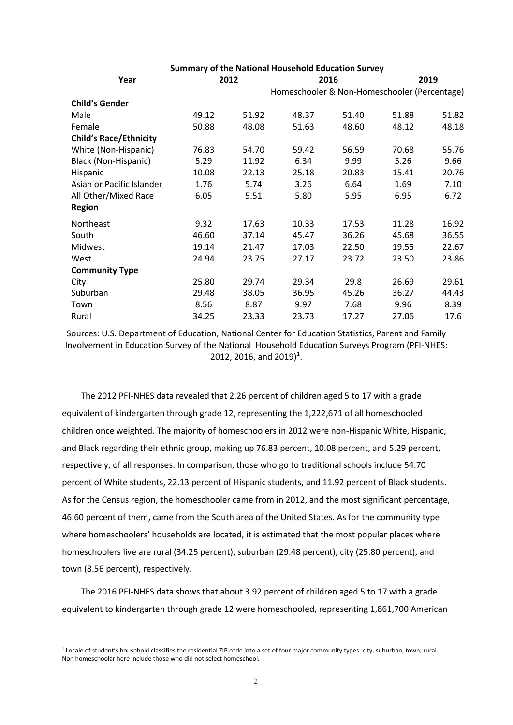| <b>Summary of the National Household Education Survey</b> |       |       |                                              |       |       |       |  |  |  |
|-----------------------------------------------------------|-------|-------|----------------------------------------------|-------|-------|-------|--|--|--|
| Year                                                      |       | 2012  |                                              | 2016  |       | 2019  |  |  |  |
|                                                           |       |       | Homeschooler & Non-Homeschooler (Percentage) |       |       |       |  |  |  |
| <b>Child's Gender</b>                                     |       |       |                                              |       |       |       |  |  |  |
| Male                                                      | 49.12 | 51.92 | 48.37                                        | 51.40 | 51.88 | 51.82 |  |  |  |
| Female                                                    | 50.88 | 48.08 | 51.63                                        | 48.60 | 48.12 | 48.18 |  |  |  |
| <b>Child's Race/Ethnicity</b>                             |       |       |                                              |       |       |       |  |  |  |
| White (Non-Hispanic)                                      | 76.83 | 54.70 | 59.42                                        | 56.59 | 70.68 | 55.76 |  |  |  |
| Black (Non-Hispanic)                                      | 5.29  | 11.92 | 6.34                                         | 9.99  | 5.26  | 9.66  |  |  |  |
| Hispanic                                                  | 10.08 | 22.13 | 25.18                                        | 20.83 | 15.41 | 20.76 |  |  |  |
| Asian or Pacific Islander                                 | 1.76  | 5.74  | 3.26                                         | 6.64  | 1.69  | 7.10  |  |  |  |
| All Other/Mixed Race                                      | 6.05  | 5.51  | 5.80                                         | 5.95  | 6.95  | 6.72  |  |  |  |
| <b>Region</b>                                             |       |       |                                              |       |       |       |  |  |  |
| Northeast                                                 | 9.32  | 17.63 | 10.33                                        | 17.53 | 11.28 | 16.92 |  |  |  |
| South                                                     | 46.60 | 37.14 | 45.47                                        | 36.26 | 45.68 | 36.55 |  |  |  |
| Midwest                                                   | 19.14 | 21.47 | 17.03                                        | 22.50 | 19.55 | 22.67 |  |  |  |
| West                                                      | 24.94 | 23.75 | 27.17                                        | 23.72 | 23.50 | 23.86 |  |  |  |
| <b>Community Type</b>                                     |       |       |                                              |       |       |       |  |  |  |
| City                                                      | 25.80 | 29.74 | 29.34                                        | 29.8  | 26.69 | 29.61 |  |  |  |
| Suburban                                                  | 29.48 | 38.05 | 36.95                                        | 45.26 | 36.27 | 44.43 |  |  |  |
| Town                                                      | 8.56  | 8.87  | 9.97                                         | 7.68  | 9.96  | 8.39  |  |  |  |
| Rural                                                     | 34.25 | 23.33 | 23.73                                        | 17.27 | 27.06 | 17.6  |  |  |  |

Sources: U.S. Department of Education, National Center for Education Statistics, Parent and Family Involvement in Education Survey of the National Household Education Surveys Program (PFI-NHES: 20[1](#page-21-0)2, 2016, and 2019)<sup>1</sup>.

The 2012 PFI-NHES data revealed that 2.26 percent of children aged 5 to 17 with a grade equivalent of kindergarten through grade 12, representing the 1,222,671 of all homeschooled children once weighted. The majority of homeschoolers in 2012 were non-Hispanic White, Hispanic, and Black regarding their ethnic group, making up 76.83 percent, 10.08 percent, and 5.29 percent, respectively, of all responses. In comparison, those who go to traditional schools include 54.70 percent of White students, 22.13 percent of Hispanic students, and 11.92 percent of Black students. As for the Census region, the homeschooler came from in 2012, and the most significant percentage, 46.60 percent of them, came from the South area of the United States. As for the community type where homeschoolers' households are located, it is estimated that the most popular places where homeschoolers live are rural (34.25 percent), suburban (29.48 percent), city (25.80 percent), and town (8.56 percent), respectively.

The 2016 PFI-NHES data shows that about 3.92 percent of children aged 5 to 17 with a grade equivalent to kindergarten through grade 12 were homeschooled, representing 1,861,700 American

<span id="page-21-0"></span> $1$  Locale of student's household classifies the residential ZIP code into a set of four major community types: city, suburban, town, rural. Non homeschoolar here include those who did not select homeschool.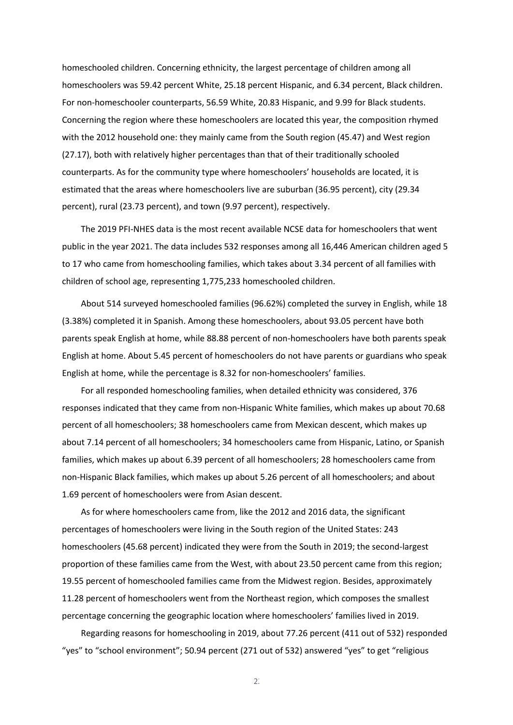homeschooled children. Concerning ethnicity, the largest percentage of children among all homeschoolers was 59.42 percent White, 25.18 percent Hispanic, and 6.34 percent, Black children. For non-homeschooler counterparts, 56.59 White, 20.83 Hispanic, and 9.99 for Black students. Concerning the region where these homeschoolers are located this year, the composition rhymed with the 2012 household one: they mainly came from the South region (45.47) and West region (27.17), both with relatively higher percentages than that of their traditionally schooled counterparts. As for the community type where homeschoolers' households are located, it is estimated that the areas where homeschoolers live are suburban (36.95 percent), city (29.34 percent), rural (23.73 percent), and town (9.97 percent), respectively.

The 2019 PFI-NHES data is the most recent available NCSE data for homeschoolers that went public in the year 2021. The data includes 532 responses among all 16,446 American children aged 5 to 17 who came from homeschooling families, which takes about 3.34 percent of all families with children of school age, representing 1,775,233 homeschooled children.

About 514 surveyed homeschooled families (96.62%) completed the survey in English, while 18 (3.38%) completed it in Spanish. Among these homeschoolers, about 93.05 percent have both parents speak English at home, while 88.88 percent of non-homeschoolers have both parents speak English at home. About 5.45 percent of homeschoolers do not have parents or guardians who speak English at home, while the percentage is 8.32 for non-homeschoolers' families.

For all responded homeschooling families, when detailed ethnicity was considered, 376 responses indicated that they came from non-Hispanic White families, which makes up about 70.68 percent of all homeschoolers; 38 homeschoolers came from Mexican descent, which makes up about 7.14 percent of all homeschoolers; 34 homeschoolers came from Hispanic, Latino, or Spanish families, which makes up about 6.39 percent of all homeschoolers; 28 homeschoolers came from non-Hispanic Black families, which makes up about 5.26 percent of all homeschoolers; and about 1.69 percent of homeschoolers were from Asian descent.

As for where homeschoolers came from, like the 2012 and 2016 data, the significant percentages of homeschoolers were living in the South region of the United States: 243 homeschoolers (45.68 percent) indicated they were from the South in 2019; the second-largest proportion of these families came from the West, with about 23.50 percent came from this region; 19.55 percent of homeschooled families came from the Midwest region. Besides, approximately 11.28 percent of homeschoolers went from the Northeast region, which composes the smallest percentage concerning the geographic location where homeschoolers' families lived in 2019.

Regarding reasons for homeschooling in 2019, about 77.26 percent (411 out of 532) responded "yes" to "school environment"; 50.94 percent (271 out of 532) answered "yes" to get "religious

 $2<sup>2</sup>$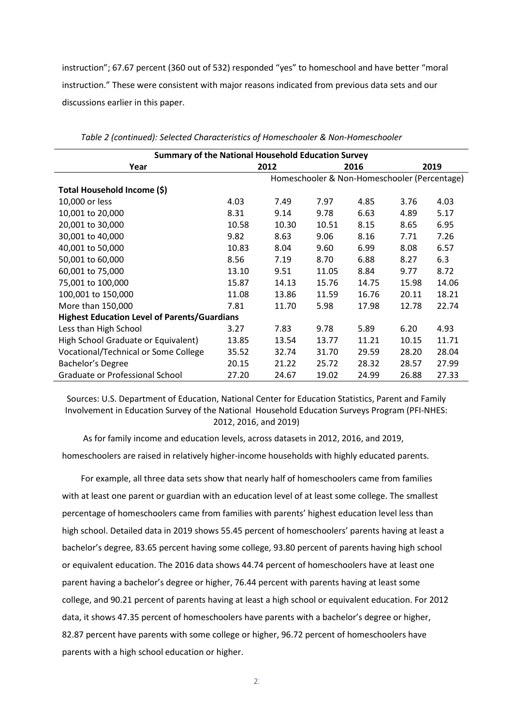instruction"; 67.67 percent (360 out of 532) responded "yes" to homeschool and have better "moral instruction." These were consistent with major reasons indicated from previous data sets and our discussions earlier in this paper.

| <b>Summary of the National Household Education Survey</b> |       |       |       |                                              |       |       |  |  |
|-----------------------------------------------------------|-------|-------|-------|----------------------------------------------|-------|-------|--|--|
| Year                                                      |       | 2016  |       | 2019                                         |       |       |  |  |
|                                                           |       | 2012  |       | Homeschooler & Non-Homeschooler (Percentage) |       |       |  |  |
|                                                           |       |       |       |                                              |       |       |  |  |
| Total Household Income (\$)                               |       |       |       |                                              |       |       |  |  |
| 10,000 or less                                            | 4.03  | 7.49  | 7.97  | 4.85                                         | 3.76  | 4.03  |  |  |
| 10,001 to 20,000                                          | 8.31  | 9.14  | 9.78  | 6.63                                         | 4.89  | 5.17  |  |  |
| 20,001 to 30,000                                          | 10.58 | 10.30 | 10.51 | 8.15                                         | 8.65  | 6.95  |  |  |
| 30,001 to 40,000                                          | 9.82  | 8.63  | 9.06  | 8.16                                         | 7.71  | 7.26  |  |  |
| 40,001 to 50,000                                          | 10.83 | 8.04  | 9.60  | 6.99                                         | 8.08  | 6.57  |  |  |
| 50,001 to 60,000                                          | 8.56  | 7.19  | 8.70  | 6.88                                         | 8.27  | 6.3   |  |  |
| 60,001 to 75,000                                          | 13.10 | 9.51  | 11.05 | 8.84                                         | 9.77  | 8.72  |  |  |
| 75,001 to 100,000                                         | 15.87 | 14.13 | 15.76 | 14.75                                        | 15.98 | 14.06 |  |  |
| 100,001 to 150,000                                        | 11.08 | 13.86 | 11.59 | 16.76                                        | 20.11 | 18.21 |  |  |
| More than 150,000                                         | 7.81  | 11.70 | 5.98  | 17.98                                        | 12.78 | 22.74 |  |  |
| <b>Highest Education Level of Parents/Guardians</b>       |       |       |       |                                              |       |       |  |  |
| Less than High School                                     | 3.27  | 7.83  | 9.78  | 5.89                                         | 6.20  | 4.93  |  |  |
| High School Graduate or Equivalent)                       | 13.85 | 13.54 | 13.77 | 11.21                                        | 10.15 | 11.71 |  |  |
| Vocational/Technical or Some College                      | 35.52 | 32.74 | 31.70 | 29.59                                        | 28.20 | 28.04 |  |  |
| Bachelor's Degree                                         | 20.15 | 21.22 | 25.72 | 28.32                                        | 28.57 | 27.99 |  |  |
| Graduate or Professional School                           | 27.20 | 24.67 | 19.02 | 24.99                                        | 26.88 | 27.33 |  |  |

| Table 2 (continued): Selected Characteristics of Homeschooler & Non-Homeschooler |  |
|----------------------------------------------------------------------------------|--|
|----------------------------------------------------------------------------------|--|

Sources: U.S. Department of Education, National Center for Education Statistics, Parent and Family Involvement in Education Survey of the National Household Education Surveys Program (PFI-NHES: 2012, 2016, and 2019)

As for family income and education levels, across datasets in 2012, 2016, and 2019, homeschoolers are raised in relatively higher-income households with highly educated parents.

For example, all three data sets show that nearly half of homeschoolers came from families with at least one parent or guardian with an education level of at least some college. The smallest percentage of homeschoolers came from families with parents' highest education level less than high school. Detailed data in 2019 shows 55.45 percent of homeschoolers' parents having at least a bachelor's degree, 83.65 percent having some college, 93.80 percent of parents having high school or equivalent education. The 2016 data shows 44.74 percent of homeschoolers have at least one parent having a bachelor's degree or higher, 76.44 percent with parents having at least some college, and 90.21 percent of parents having at least a high school or equivalent education. For 2012 data, it shows 47.35 percent of homeschoolers have parents with a bachelor's degree or higher, 82.87 percent have parents with some college or higher, 96.72 percent of homeschoolers have parents with a high school education or higher.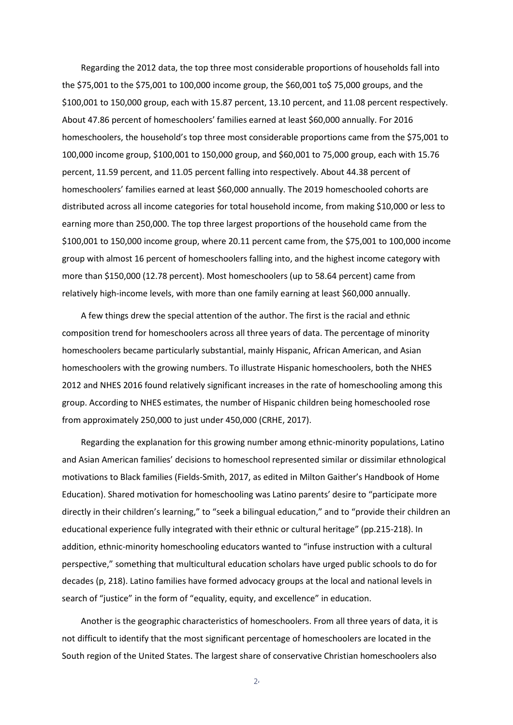Regarding the 2012 data, the top three most considerable proportions of households fall into the \$75,001 to the \$75,001 to 100,000 income group, the \$60,001 to\$ 75,000 groups, and the \$100,001 to 150,000 group, each with 15.87 percent, 13.10 percent, and 11.08 percent respectively. About 47.86 percent of homeschoolers' families earned at least \$60,000 annually. For 2016 homeschoolers, the household's top three most considerable proportions came from the \$75,001 to 100,000 income group, \$100,001 to 150,000 group, and \$60,001 to 75,000 group, each with 15.76 percent, 11.59 percent, and 11.05 percent falling into respectively. About 44.38 percent of homeschoolers' families earned at least \$60,000 annually. The 2019 homeschooled cohorts are distributed across all income categories for total household income, from making \$10,000 or less to earning more than 250,000. The top three largest proportions of the household came from the \$100,001 to 150,000 income group, where 20.11 percent came from, the \$75,001 to 100,000 income group with almost 16 percent of homeschoolers falling into, and the highest income category with more than \$150,000 (12.78 percent). Most homeschoolers (up to 58.64 percent) came from relatively high-income levels, with more than one family earning at least \$60,000 annually.

A few things drew the special attention of the author. The first is the racial and ethnic composition trend for homeschoolers across all three years of data. The percentage of minority homeschoolers became particularly substantial, mainly Hispanic, African American, and Asian homeschoolers with the growing numbers. To illustrate Hispanic homeschoolers, both the NHES 2012 and NHES 2016 found relatively significant increases in the rate of homeschooling among this group. According to NHES estimates, the number of Hispanic children being homeschooled rose from approximately 250,000 to just under 450,000 (CRHE, 2017).

Regarding the explanation for this growing number among ethnic-minority populations, Latino and Asian American families' decisions to homeschool represented similar or dissimilar ethnological motivations to Black families (Fields-Smith, 2017, as edited in Milton Gaither's Handbook of Home Education). Shared motivation for homeschooling was Latino parents' desire to "participate more directly in their children's learning," to "seek a bilingual education," and to "provide their children an educational experience fully integrated with their ethnic or cultural heritage" (pp.215-218). In addition, ethnic-minority homeschooling educators wanted to "infuse instruction with a cultural perspective," something that multicultural education scholars have urged public schools to do for decades (p, 218). Latino families have formed advocacy groups at the local and national levels in search of "justice" in the form of "equality, equity, and excellence" in education.

Another is the geographic characteristics of homeschoolers. From all three years of data, it is not difficult to identify that the most significant percentage of homeschoolers are located in the South region of the United States. The largest share of conservative Christian homeschoolers also

 $2<sub>4</sub>$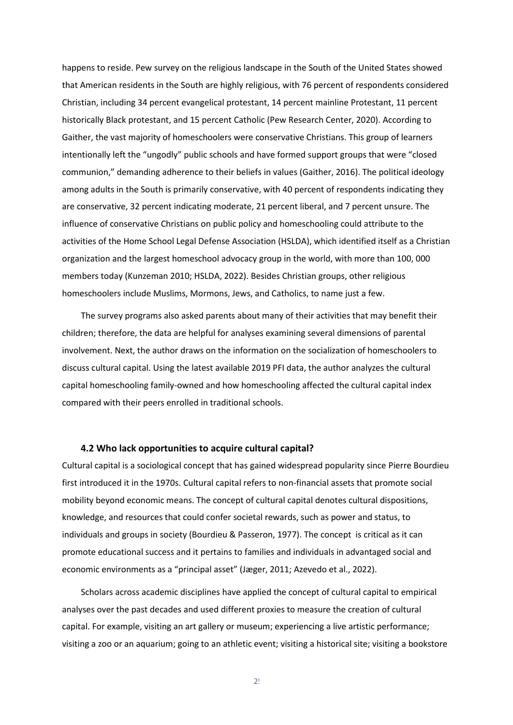happens to reside. Pew survey on the religious landscape in the South of the United States showed that American residents in the South are highly religious, with 76 percent of respondents considered Christian, including 34 percent evangelical protestant, 14 percent mainline Protestant, 11 percent historically Black protestant, and 15 percent Catholic (Pew Research Center, 2020). According to Gaither, the vast majority of homeschoolers were conservative Christians. This group of learners intentionally left the "ungodly" public schools and have formed support groups that were "closed communion," demanding adherence to their beliefs in values (Gaither, 2016). The political ideology among adults in the South is primarily conservative, with 40 percent of respondents indicating they are conservative, 32 percent indicating moderate, 21 percent liberal, and 7 percent unsure. The influence of conservative Christians on public policy and homeschooling could attribute to the activities of the Home School Legal Defense Association (HSLDA), which identified itself as a Christian organization and the largest homeschool advocacy group in the world, with more than 100, 000 members today (Kunzeman 2010; HSLDA, 2022). Besides Christian groups, other religious homeschoolers include Muslims, Mormons, Jews, and Catholics, to name just a few.

The survey programs also asked parents about many of their activities that may benefit their children; therefore, the data are helpful for analyses examining several dimensions of parental involvement. Next, the author draws on the information on the socialization of homeschoolers to discuss cultural capital. Using the latest available 2019 PFI data, the author analyzes the cultural capital homeschooling family-owned and how homeschooling affected the cultural capital index compared with their peers enrolled in traditional schools.

#### <span id="page-25-0"></span> **4.2 Who lack opportunities to acquire cultural capital?**

Cultural capital is a sociological concept that has gained widespread popularity since Pierre Bourdieu first introduced it in the 1970s. Cultural capital refers to non-financial assets that promote social mobility beyond economic means. The concept of cultural capital denotes cultural dispositions, knowledge, and resources that could confer societal rewards, such as power and status, to individuals and groups in society (Bourdieu & Passeron, 1977). The concept is critical as it can promote educational success and it pertains to families and individuals in advantaged social and economic environments as a "principal asset" (Jæger, 2011; Azevedo et al., 2022).

Scholars across academic disciplines have applied the concept of cultural capital to empirical analyses over the past decades and used different proxies to measure the creation of cultural capital. For example, visiting an art gallery or museum; experiencing a live artistic performance; visiting a zoo or an aquarium; going to an athletic event; visiting a historical site; visiting a bookstore

 $2!$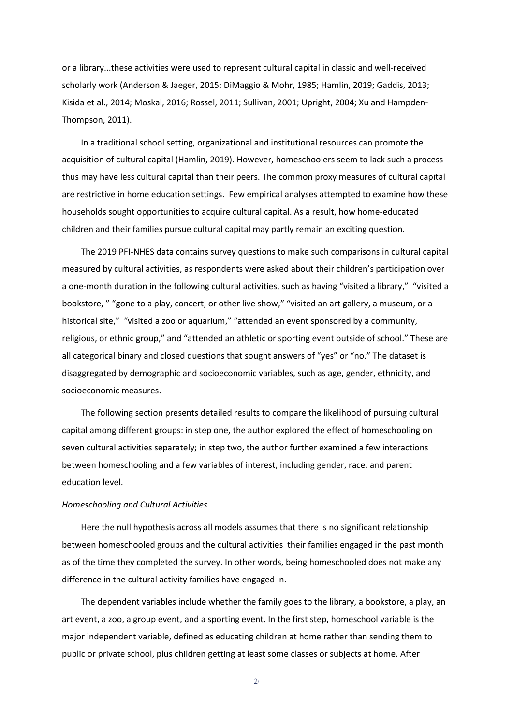or a library...these activities were used to represent cultural capital in classic and well-received scholarly work (Anderson & Jaeger, 2015; DiMaggio & Mohr, 1985; Hamlin, 2019; Gaddis, 2013; Kisida et al., 2014; Moskal, 2016; Rossel, 2011; Sullivan, 2001; Upright, 2004; Xu and Hampden-Thompson, 2011).

In a traditional school setting, organizational and institutional resources can promote the acquisition of cultural capital (Hamlin, 2019). However, homeschoolers seem to lack such a process thus may have less cultural capital than their peers. The common proxy measures of cultural capital are restrictive in home education settings. Few empirical analyses attempted to examine how these households sought opportunities to acquire cultural capital. As a result, how home-educated children and their families pursue cultural capital may partly remain an exciting question.

The 2019 PFI-NHES data contains survey questions to make such comparisons in cultural capital measured by cultural activities, as respondents were asked about their children's participation over a one-month duration in the following cultural activities, such as having "visited a library," "visited a bookstore, " "gone to a play, concert, or other live show," "visited an art gallery, a museum, or a historical site," "visited a zoo or aquarium," "attended an event sponsored by a community, religious, or ethnic group," and "attended an athletic or sporting event outside of school." These are all categorical binary and closed questions that sought answers of "yes" or "no." The dataset is disaggregated by demographic and socioeconomic variables, such as age, gender, ethnicity, and socioeconomic measures.

The following section presents detailed results to compare the likelihood of pursuing cultural capital among different groups: in step one, the author explored the effect of homeschooling on seven cultural activities separately; in step two, the author further examined a few interactions between homeschooling and a few variables of interest, including gender, race, and parent education level.

#### *Homeschooling and Cultural Activities*

Here the null hypothesis across all models assumes that there is no significant relationship between homeschooled groups and the cultural activities their families engaged in the past month as of the time they completed the survey. In other words, being homeschooled does not make any difference in the cultural activity families have engaged in.

The dependent variables include whether the family goes to the library, a bookstore, a play, an art event, a zoo, a group event, and a sporting event. In the first step, homeschool variable is the major independent variable, defined as educating children at home rather than sending them to public or private school, plus children getting at least some classes or subjects at home. After

 $2<sub>0</sub>$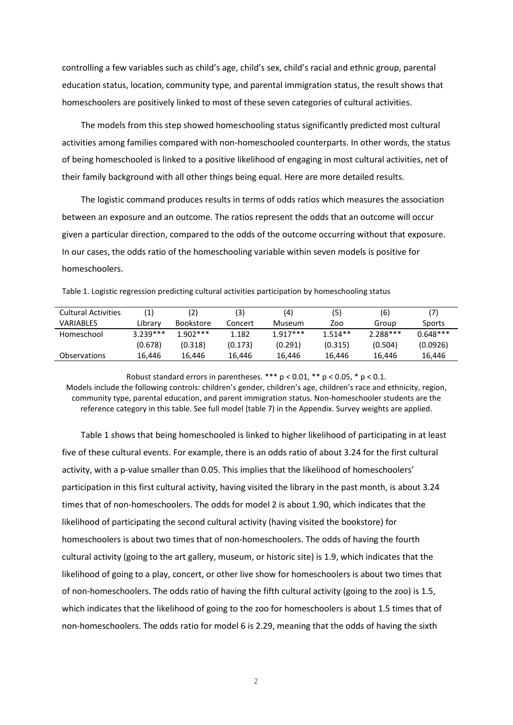controlling a few variables such as child's age, child's sex, child's racial and ethnic group, parental education status, location, community type, and parental immigration status, the result shows that homeschoolers are positively linked to most of these seven categories of cultural activities.

The models from this step showed homeschooling status significantly predicted most cultural activities among families compared with non-homeschooled counterparts. In other words, the status of being homeschooled is linked to a positive likelihood of engaging in most cultural activities, net of their family background with all other things being equal. Here are more detailed results.

The logistic command produces results in terms of odds ratios which measures the association between an exposure and an outcome. The ratios represent the odds that an outcome will occur given a particular direction, compared to the odds of the outcome occurring without that exposure. In our cases, the odds ratio of the homeschooling variable within seven models is positive for homeschoolers.

| <b>Cultural Activities</b> | (1)        | (2)              | (3)     | (4)        | (5)       | (6)        |            |
|----------------------------|------------|------------------|---------|------------|-----------|------------|------------|
| VARIABLES                  | Library    | <b>Bookstore</b> | Concert | Museum     | Zoo       | Group      | Sports     |
| Homeschool                 | $3.239***$ | $1.902***$       | 1.182   | $1.917***$ | $1.514**$ | $2.288***$ | $0.648***$ |
|                            | (0.678)    | (0.318)          | (0.173) | (0.291)    | (0.315)   | (0.504)    | (0.0926)   |

Observations 16,446 16,446 16,446 16,446 16,446 16,446 16,446

Table 1. Logistic regression predicting cultural activities participation by homeschooling status

Robust standard errors in parentheses. \*\*\*  $p < 0.01$ , \*\*  $p < 0.05$ , \*  $p < 0.1$ . Models include the following controls: children's gender, children's age, children's race and ethnicity, region, community type, parental education, and parent immigration status. Non-homeschooler students are the reference category in this table. See full model (table 7) in the Appendix. Survey weights are applied.

Table 1 shows that being homeschooled is linked to higher likelihood of participating in at least five of these cultural events. For example, there is an odds ratio of about 3.24 for the first cultural activity, with a p-value smaller than 0.05. This implies that the likelihood of homeschoolers' participation in this first cultural activity, having visited the library in the past month, is about 3.24 times that of non-homeschoolers. The odds for model 2 is about 1.90, which indicates that the likelihood of participating the second cultural activity (having visited the bookstore) for homeschoolers is about two times that of non-homeschoolers. The odds of having the fourth cultural activity (going to the art gallery, museum, or historic site) is 1.9, which indicates that the likelihood of going to a play, concert, or other live show for homeschoolers is about two times that of non-homeschoolers. The odds ratio of having the fifth cultural activity (going to the zoo) is 1.5, which indicates that the likelihood of going to the zoo for homeschoolers is about 1.5 times that of non-homeschoolers. The odds ratio for model 6 is 2.29, meaning that the odds of having the sixth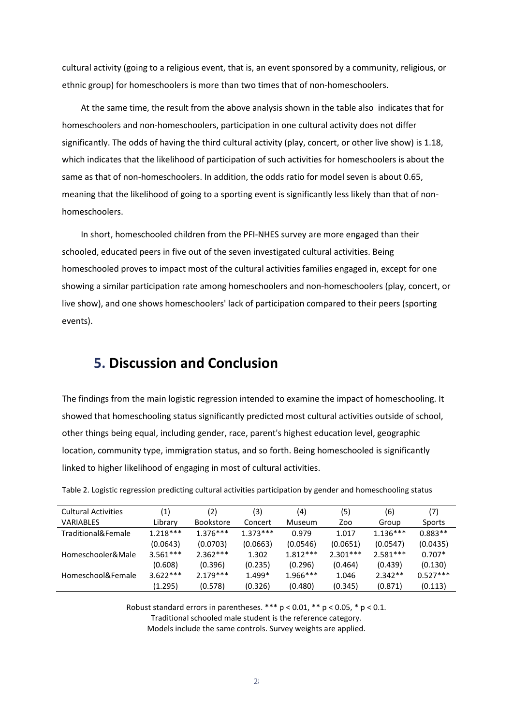cultural activity (going to a religious event, that is, an event sponsored by a community, religious, or ethnic group) for homeschoolers is more than two times that of non-homeschoolers.

At the same time, the result from the above analysis shown in the table also indicates that for homeschoolers and non-homeschoolers, participation in one cultural activity does not differ significantly. The odds of having the third cultural activity (play, concert, or other live show) is 1.18, which indicates that the likelihood of participation of such activities for homeschoolers is about the same as that of non-homeschoolers. In addition, the odds ratio for model seven is about 0.65, meaning that the likelihood of going to a sporting event is significantly less likely than that of nonhomeschoolers.

In short, homeschooled children from the PFI-NHES survey are more engaged than their schooled, educated peers in five out of the seven investigated cultural activities. Being homeschooled proves to impact most of the cultural activities families engaged in, except for one showing a similar participation rate among homeschoolers and non-homeschoolers (play, concert, or live show), and one shows homeschoolers' lack of participation compared to their peers (sporting events).

# <span id="page-28-0"></span>**5. Discussion and Conclusion**

The findings from the main logistic regression intended to examine the impact of homeschooling. It showed that homeschooling status significantly predicted most cultural activities outside of school, other things being equal, including gender, race, parent's highest education level, geographic location, community type, immigration status, and so forth. Being homeschooled is significantly linked to higher likelihood of engaging in most of cultural activities.

| <b>Cultural Activities</b> | (1)        | (2)              | (3)        | (4)        | (5)        | (6)        | (7)        |
|----------------------------|------------|------------------|------------|------------|------------|------------|------------|
| <b>VARIABLES</b>           | Library    | <b>Bookstore</b> | Concert    | Museum     | Zoo        | Group      | Sports     |
| Traditional&Female         | $1.218***$ | $1.376***$       | $1.373***$ | 0.979      | 1.017      | $1.136***$ | $0.883**$  |
|                            | (0.0643)   | (0.0703)         | (0.0663)   | (0.0546)   | (0.0651)   | (0.0547)   | (0.0435)   |
| Homeschooler&Male          | $3.561***$ | $2.362***$       | 1.302      | $1.812***$ | $2.301***$ | $2.581***$ | $0.707*$   |
|                            | (0.608)    | (0.396)          | (0.235)    | (0.296)    | (0.464)    | (0.439)    | (0.130)    |
| Homeschool&Female          | $3.622***$ | $2.179***$       | $1.499*$   | $1.966***$ | 1.046      | $2.342**$  | $0.527***$ |
|                            | (1.295)    | (0.578)          | (0.326)    | (0.480)    | (0.345)    | (0.871)    | (0.113)    |

| Table 2. Logistic regression predicting cultural activities participation by gender and homeschooling status |
|--------------------------------------------------------------------------------------------------------------|
|--------------------------------------------------------------------------------------------------------------|

Robust standard errors in parentheses. \*\*\*  $p < 0.01$ , \*\*  $p < 0.05$ , \*  $p < 0.1$ .

Traditional schooled male student is the reference category.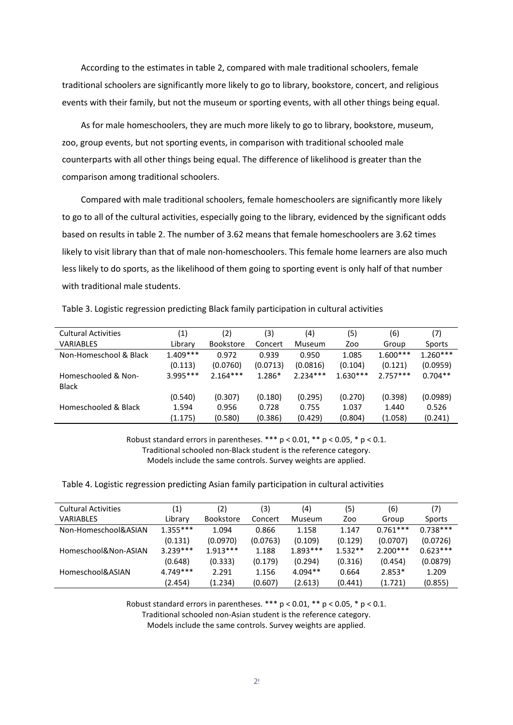According to the estimates in table 2, compared with male traditional schoolers, female traditional schoolers are significantly more likely to go to library, bookstore, concert, and religious events with their family, but not the museum or sporting events, with all other things being equal.

As for male homeschoolers, they are much more likely to go to library, bookstore, museum, zoo, group events, but not sporting events, in comparison with traditional schooled male counterparts with all other things being equal. The difference of likelihood is greater than the comparison among traditional schoolers.

Compared with male traditional schoolers, female homeschoolers are significantly more likely to go to all of the cultural activities, especially going to the library, evidenced by the significant odds based on results in table 2. The number of 3.62 means that female homeschoolers are 3.62 times likely to visit library than that of male non-homeschoolers. This female home learners are also much less likely to do sports, as the likelihood of them going to sporting event is only half of that number with traditional male students.

Table 3. Logistic regression predicting Black family participation in cultural activities

| <b>Cultural Activities</b> | (1)        | (2)              | (3)      | (4)        | (5)        | (6)        | (7)        |
|----------------------------|------------|------------------|----------|------------|------------|------------|------------|
| <b>VARIABLES</b>           | Library    | <b>Bookstore</b> | Concert  | Museum     | Zoo        | Group      | Sports     |
| Non-Homeschool & Black     | $1.409***$ | 0.972            | 0.939    | 0.950      | 1.085      | $1.600***$ | $1.260***$ |
|                            | (0.113)    | (0.0760)         | (0.0713) | (0.0816)   | (0.104)    | (0.121)    | (0.0959)   |
| Homeschooled & Non-        | $3.995***$ | $2.164***$       | 1.286*   | $2.234***$ | $1.630***$ | $2.757***$ | $0.704**$  |
| <b>Black</b>               |            |                  |          |            |            |            |            |
|                            | (0.540)    | (0.307)          | (0.180)  | (0.295)    | (0.270)    | (0.398)    | (0.0989)   |
| Homeschooled & Black       | 1.594      | 0.956            | 0.728    | 0.755      | 1.037      | 1.440      | 0.526      |
|                            | (1.175)    | (0.580)          | (0.386)  | (0.429)    | (0.804)    | (1.058)    | (0.241)    |

Robust standard errors in parentheses.  $***$  p < 0.01,  $**$  p < 0.05,  $*$  p < 0.1,

Traditional schooled non-Black student is the reference category. Models include the same controls. Survey weights are applied.

Table 4. Logistic regression predicting Asian family participation in cultural activities

| <b>Cultural Activities</b> | (1)        | (2)              | (3)      | (4)        | (5)       | (6)        | (7)        |
|----------------------------|------------|------------------|----------|------------|-----------|------------|------------|
| <b>VARIABLES</b>           | Library    | <b>Bookstore</b> | Concert  | Museum     | Zoo       | Group      | Sports     |
| Non-Homeschool&ASIAN       | $1.355***$ | 1.094            | 0.866    | 1.158      | 1.147     | $0.761***$ | $0.738***$ |
|                            | (0.131)    | (0.0970)         | (0.0763) | (0.109)    | (0.129)   | (0.0707)   | (0.0726)   |
| Homeschool&Non-ASIAN       | $3.239***$ | $1.913***$       | 1.188    | $1.893***$ | $1.532**$ | $2.200***$ | $0.623***$ |
|                            | (0.648)    | (0.333)          | (0.179)  | (0.294)    | (0.316)   | (0.454)    | (0.0879)   |
| Homeschool&ASIAN           | $4.749***$ | 2.291            | 1.156    | $4.094**$  | 0.664     | $2.853*$   | 1.209      |
|                            | (2.454)    | (1.234)          | (0.607)  | (2.613)    | (0.441)   | (1.721)    | (0.855)    |

Robust standard errors in parentheses.  $*** p < 0.01$ ,  $** p < 0.05$ ,  $* p < 0.1$ .

Traditional schooled non-Asian student is the reference category.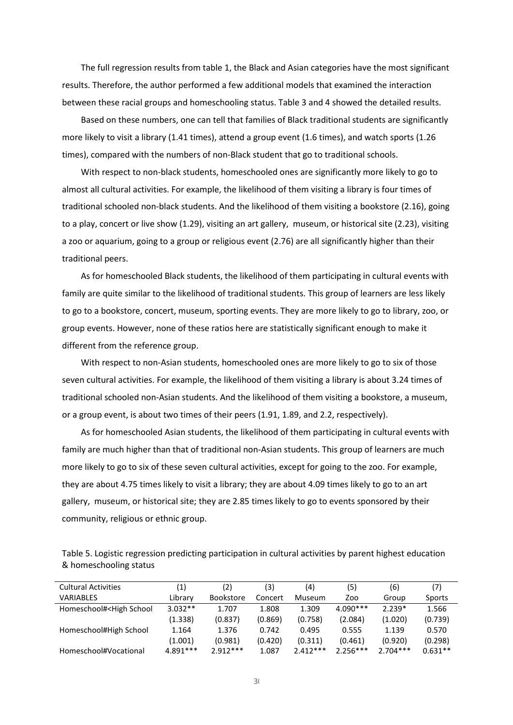The full regression results from table 1, the Black and Asian categories have the most significant results. Therefore, the author performed a few additional models that examined the interaction between these racial groups and homeschooling status. Table 3 and 4 showed the detailed results.

Based on these numbers, one can tell that families of Black traditional students are significantly more likely to visit a library (1.41 times), attend a group event (1.6 times), and watch sports (1.26 times), compared with the numbers of non-Black student that go to traditional schools.

With respect to non-black students, homeschooled ones are significantly more likely to go to almost all cultural activities. For example, the likelihood of them visiting a library is four times of traditional schooled non-black students. And the likelihood of them visiting a bookstore (2.16), going to a play, concert or live show (1.29), visiting an art gallery, museum, or historical site (2.23), visiting a zoo or aquarium, going to a group or religious event (2.76) are all significantly higher than their traditional peers.

As for homeschooled Black students, the likelihood of them participating in cultural events with family are quite similar to the likelihood of traditional students. This group of learners are less likely to go to a bookstore, concert, museum, sporting events. They are more likely to go to library, zoo, or group events. However, none of these ratios here are statistically significant enough to make it different from the reference group.

With respect to non-Asian students, homeschooled ones are more likely to go to six of those seven cultural activities. For example, the likelihood of them visiting a library is about 3.24 times of traditional schooled non-Asian students. And the likelihood of them visiting a bookstore, a museum, or a group event, is about two times of their peers (1.91, 1.89, and 2.2, respectively).

As for homeschooled Asian students, the likelihood of them participating in cultural events with family are much higher than that of traditional non-Asian students. This group of learners are much more likely to go to six of these seven cultural activities, except for going to the zoo. For example, they are about 4.75 times likely to visit a library; they are about 4.09 times likely to go to an art gallery, museum, or historical site; they are 2.85 times likely to go to events sponsored by their community, religious or ethnic group.

Table 5. Logistic regression predicting participation in cultural activities by parent highest education & homeschooling status

| <b>Cultural Activities</b>                                                                                                                                                                | (1)        | (2)              | (3)     | (4)        | (5)        | (6)        | (7)       |
|-------------------------------------------------------------------------------------------------------------------------------------------------------------------------------------------|------------|------------------|---------|------------|------------|------------|-----------|
| <b>VARIABLES</b>                                                                                                                                                                          | Library    | <b>Bookstore</b> | Concert | Museum     | Zoo        | Group      | Sports    |
| Homeschool# <high school<="" td=""><td><math>3.032**</math></td><td>1.707</td><td>1.808</td><td>1.309</td><td><math>4.090***</math></td><td><math>2.239*</math></td><td>1.566</td></high> | $3.032**$  | 1.707            | 1.808   | 1.309      | $4.090***$ | $2.239*$   | 1.566     |
|                                                                                                                                                                                           | (1.338)    | (0.837)          | (0.869) | (0.758)    | (2.084)    | (1.020)    | (0.739)   |
| Homeschool#High School                                                                                                                                                                    | 1.164      | 1.376            | 0.742   | 0.495      | 0.555      | 1.139      | 0.570     |
|                                                                                                                                                                                           | (1.001)    | (0.981)          | (0.420) | (0.311)    | (0.461)    | (0.920)    | (0.298)   |
| Homeschool#Vocational                                                                                                                                                                     | $4.891***$ | $2.912***$       | 1.087   | $2.412***$ | $2.256***$ | $2.704***$ | $0.631**$ |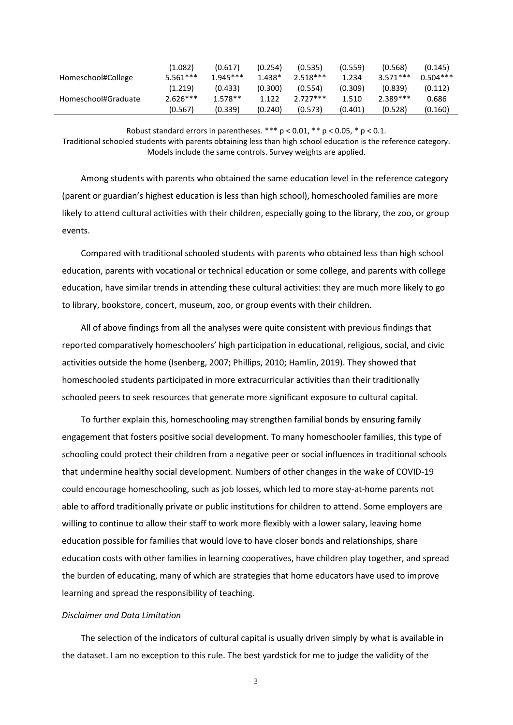|                     | (1.082)    | (0.617)    | (0.254)  | (0.535)    | (0.559) | (0.568)    | (0.145)    |
|---------------------|------------|------------|----------|------------|---------|------------|------------|
| Homeschool#College  | $5.561***$ | $1.945***$ | $1.438*$ | $2.518***$ | 1.234   | $3.571***$ | $0.504***$ |
|                     | (1.219)    | (0.433)    | (0.300)  | (0.554)    | (0.309) | (0.839)    | (0.112)    |
| Homeschool#Graduate | $2.626***$ | $1.578**$  | 1.122    | $2727***$  | 1.510   | $2.389***$ | 0.686      |
|                     | (0.567)    | (0.339)    | (0.240)  | (0.573)    | (0.401) | (0.528)    | (0.160)    |

Robust standard errors in parentheses.  $*** p < 0.01$ ,  $** p < 0.05$ ,  $* p < 0.1$ .

Traditional schooled students with parents obtaining less than high school education is the reference category. Models include the same controls. Survey weights are applied.

Among students with parents who obtained the same education level in the reference category (parent or guardian's highest education is less than high school), homeschooled families are more likely to attend cultural activities with their children, especially going to the library, the zoo, or group events.

Compared with traditional schooled students with parents who obtained less than high school education, parents with vocational or technical education or some college, and parents with college education, have similar trends in attending these cultural activities: they are much more likely to go to library, bookstore, concert, museum, zoo, or group events with their children.

All of above findings from all the analyses were quite consistent with previous findings that reported comparatively homeschoolers' high participation in educational, religious, social, and civic activities outside the home (Isenberg, 2007; Phillips, 2010; Hamlin, 2019). They showed that homeschooled students participated in more extracurricular activities than their traditionally schooled peers to seek resources that generate more significant exposure to cultural capital.

To further explain this, homeschooling may strengthen familial bonds by ensuring family engagement that fosters positive social development. To many homeschooler families, this type of schooling could protect their children from a negative peer or social influences in traditional schools that undermine healthy social development. Numbers of other changes in the wake of COVID-19 could encourage homeschooling, such as job losses, which led to more stay-at-home parents not able to afford traditionally private or public institutions for children to attend. Some employers are willing to continue to allow their staff to work more flexibly with a lower salary, leaving home education possible for families that would love to have closer bonds and relationships, share education costs with other families in learning cooperatives, have children play together, and spread the burden of educating, many of which are strategies that home educators have used to improve learning and spread the responsibility of teaching.

#### *Disclaimer and Data Limitation*

The selection of the indicators of cultural capital is usually driven simply by what is available in the dataset. I am no exception to this rule. The best yardstick for me to judge the validity of the

 $3<sup>1</sup>$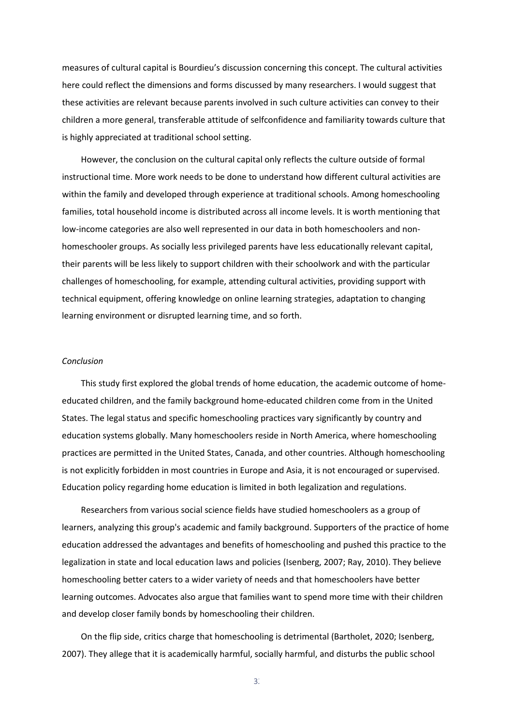measures of cultural capital is Bourdieu's discussion concerning this concept. The cultural activities here could reflect the dimensions and forms discussed by many researchers. I would suggest that these activities are relevant because parents involved in such culture activities can convey to their children a more general, transferable attitude of selfconfidence and familiarity towards culture that is highly appreciated at traditional school setting.

However, the conclusion on the cultural capital only reflects the culture outside of formal instructional time. More work needs to be done to understand how different cultural activities are within the family and developed through experience at traditional schools. Among homeschooling families, total household income is distributed across all income levels. It is worth mentioning that low-income categories are also well represented in our data in both homeschoolers and nonhomeschooler groups. As socially less privileged parents have less educationally relevant capital, their parents will be less likely to support children with their schoolwork and with the particular challenges of homeschooling, for example, attending cultural activities, providing support with technical equipment, offering knowledge on online learning strategies, adaptation to changing learning environment or disrupted learning time, and so forth.

#### *Conclusion*

This study first explored the global trends of home education, the academic outcome of homeeducated children, and the family background home-educated children come from in the United States. The legal status and specific homeschooling practices vary significantly by country and education systems globally. Many homeschoolers reside in North America, where homeschooling practices are permitted in the United States, Canada, and other countries. Although homeschooling is not explicitly forbidden in most countries in Europe and Asia, it is not encouraged or supervised. Education policy regarding home education is limited in both legalization and regulations.

Researchers from various social science fields have studied homeschoolers as a group of learners, analyzing this group's academic and family background. Supporters of the practice of home education addressed the advantages and benefits of homeschooling and pushed this practice to the legalization in state and local education laws and policies (Isenberg, 2007; Ray, 2010). They believe homeschooling better caters to a wider variety of needs and that homeschoolers have better learning outcomes. Advocates also argue that families want to spend more time with their children and develop closer family bonds by homeschooling their children.

On the flip side, critics charge that homeschooling is detrimental (Bartholet, 2020; Isenberg, 2007). They allege that it is academically harmful, socially harmful, and disturbs the public school

 $3<sup>2</sup>$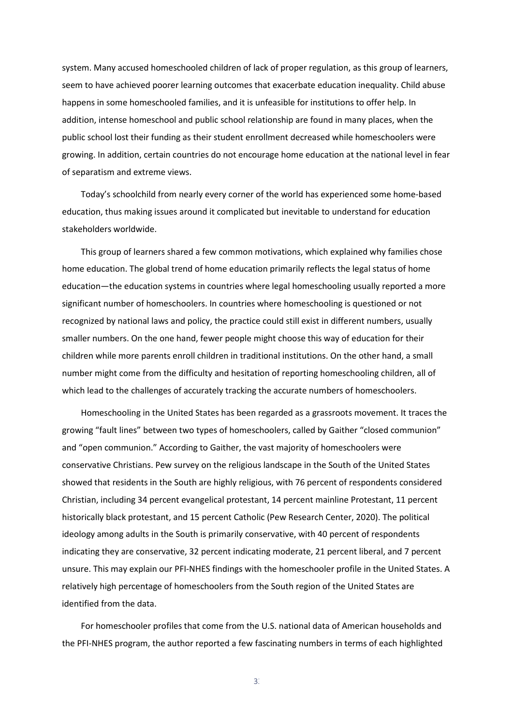system. Many accused homeschooled children of lack of proper regulation, as this group of learners, seem to have achieved poorer learning outcomes that exacerbate education inequality. Child abuse happens in some homeschooled families, and it is unfeasible for institutions to offer help. In addition, intense homeschool and public school relationship are found in many places, when the public school lost their funding as their student enrollment decreased while homeschoolers were growing. In addition, certain countries do not encourage home education at the national level in fear of separatism and extreme views.

Today's schoolchild from nearly every corner of the world has experienced some home-based education, thus making issues around it complicated but inevitable to understand for education stakeholders worldwide.

This group of learners shared a few common motivations, which explained why families chose home education. The global trend of home education primarily reflects the legal status of home education—the education systems in countries where legal homeschooling usually reported a more significant number of homeschoolers. In countries where homeschooling is questioned or not recognized by national laws and policy, the practice could still exist in different numbers, usually smaller numbers. On the one hand, fewer people might choose this way of education for their children while more parents enroll children in traditional institutions. On the other hand, a small number might come from the difficulty and hesitation of reporting homeschooling children, all of which lead to the challenges of accurately tracking the accurate numbers of homeschoolers.

Homeschooling in the United States has been regarded as a grassroots movement. It traces the growing "fault lines" between two types of homeschoolers, called by Gaither "closed communion" and "open communion." According to Gaither, the vast majority of homeschoolers were conservative Christians. Pew survey on the religious landscape in the South of the United States showed that residents in the South are highly religious, with 76 percent of respondents considered Christian, including 34 percent evangelical protestant, 14 percent mainline Protestant, 11 percent historically black protestant, and 15 percent Catholic (Pew Research Center, 2020). The political ideology among adults in the South is primarily conservative, with 40 percent of respondents indicating they are conservative, 32 percent indicating moderate, 21 percent liberal, and 7 percent unsure. This may explain our PFI-NHES findings with the homeschooler profile in the United States. A relatively high percentage of homeschoolers from the South region of the United States are identified from the data.

For homeschooler profiles that come from the U.S. national data of American households and the PFI-NHES program, the author reported a few fascinating numbers in terms of each highlighted

 $3<sup>3</sup>$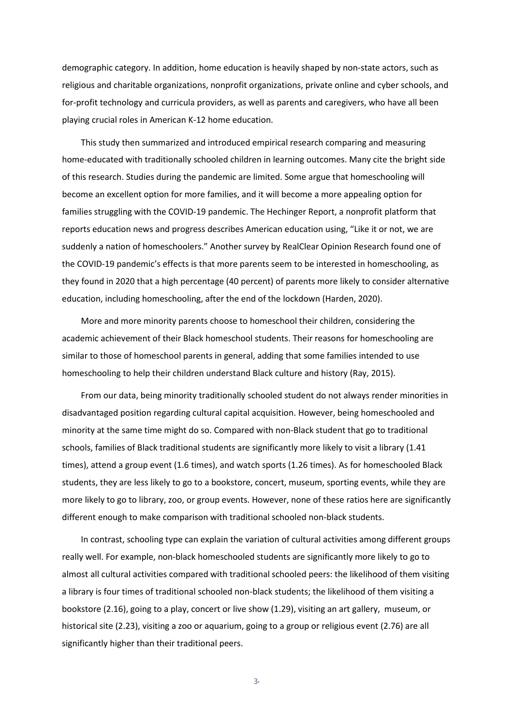demographic category. In addition, home education is heavily shaped by non-state actors, such as religious and charitable organizations, nonprofit organizations, private online and cyber schools, and for-profit technology and curricula providers, as well as parents and caregivers, who have all been playing crucial roles in American K-12 home education.

This study then summarized and introduced empirical research comparing and measuring home-educated with traditionally schooled children in learning outcomes. Many cite the bright side of this research. Studies during the pandemic are limited. Some argue that homeschooling will become an excellent option for more families, and it will become a more appealing option for families struggling with the COVID-19 pandemic. The Hechinger Report, a nonprofit platform that reports education news and progress describes American education using, "Like it or not, we are suddenly a nation of homeschoolers." Another survey by RealClear Opinion Research found one of the COVID-19 pandemic's effects is that more parents seem to be interested in homeschooling, as they found in 2020 that a high percentage (40 percent) of parents more likely to consider alternative education, including homeschooling, after the end of the lockdown (Harden, 2020).

More and more minority parents choose to homeschool their children, considering the academic achievement of their Black homeschool students. Their reasons for homeschooling are similar to those of homeschool parents in general, adding that some families intended to use homeschooling to help their children understand Black culture and history (Ray, 2015).

From our data, being minority traditionally schooled student do not always render minorities in disadvantaged position regarding cultural capital acquisition. However, being homeschooled and minority at the same time might do so. Compared with non-Black student that go to traditional schools, families of Black traditional students are significantly more likely to visit a library (1.41 times), attend a group event (1.6 times), and watch sports (1.26 times). As for homeschooled Black students, they are less likely to go to a bookstore, concert, museum, sporting events, while they are more likely to go to library, zoo, or group events. However, none of these ratios here are significantly different enough to make comparison with traditional schooled non-black students.

In contrast, schooling type can explain the variation of cultural activities among different groups really well. For example, non-black homeschooled students are significantly more likely to go to almost all cultural activities compared with traditional schooled peers: the likelihood of them visiting a library is four times of traditional schooled non-black students; the likelihood of them visiting a bookstore (2.16), going to a play, concert or live show (1.29), visiting an art gallery, museum, or historical site (2.23), visiting a zoo or aquarium, going to a group or religious event (2.76) are all significantly higher than their traditional peers.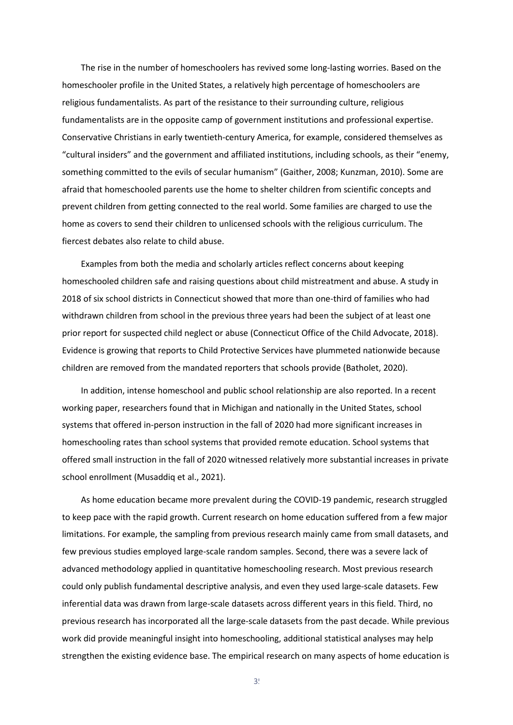The rise in the number of homeschoolers has revived some long-lasting worries. Based on the homeschooler profile in the United States, a relatively high percentage of homeschoolers are religious fundamentalists. As part of the resistance to their surrounding culture, religious fundamentalists are in the opposite camp of government institutions and professional expertise. Conservative Christians in early twentieth-century America, for example, considered themselves as "cultural insiders" and the government and affiliated institutions, including schools, as their "enemy, something committed to the evils of secular humanism" (Gaither, 2008; Kunzman, 2010). Some are afraid that homeschooled parents use the home to shelter children from scientific concepts and prevent children from getting connected to the real world. Some families are charged to use the home as covers to send their children to unlicensed schools with the religious curriculum. The fiercest debates also relate to child abuse.

Examples from both the media and scholarly articles reflect concerns about keeping homeschooled children safe and raising questions about child mistreatment and abuse. A study in 2018 of six school districts in Connecticut showed that more than one-third of families who had withdrawn children from school in the previous three years had been the subject of at least one prior report for suspected child neglect or abuse (Connecticut Office of the Child Advocate, 2018). Evidence is growing that reports to Child Protective Services have plummeted nationwide because children are removed from the mandated reporters that schools provide (Batholet, 2020).

In addition, intense homeschool and public school relationship are also reported. In a recent working paper, researchers found that in Michigan and nationally in the United States, school systems that offered in-person instruction in the fall of 2020 had more significant increases in homeschooling rates than school systems that provided remote education. School systems that offered small instruction in the fall of 2020 witnessed relatively more substantial increases in private school enrollment (Musaddiq et al., 2021).

As home education became more prevalent during the COVID-19 pandemic, research struggled to keep pace with the rapid growth. Current research on home education suffered from a few major limitations. For example, the sampling from previous research mainly came from small datasets, and few previous studies employed large-scale random samples. Second, there was a severe lack of advanced methodology applied in quantitative homeschooling research. Most previous research could only publish fundamental descriptive analysis, and even they used large-scale datasets. Few inferential data was drawn from large-scale datasets across different years in this field. Third, no previous research has incorporated all the large-scale datasets from the past decade. While previous work did provide meaningful insight into homeschooling, additional statistical analyses may help strengthen the existing evidence base. The empirical research on many aspects of home education is

 $3<sup>t</sup>$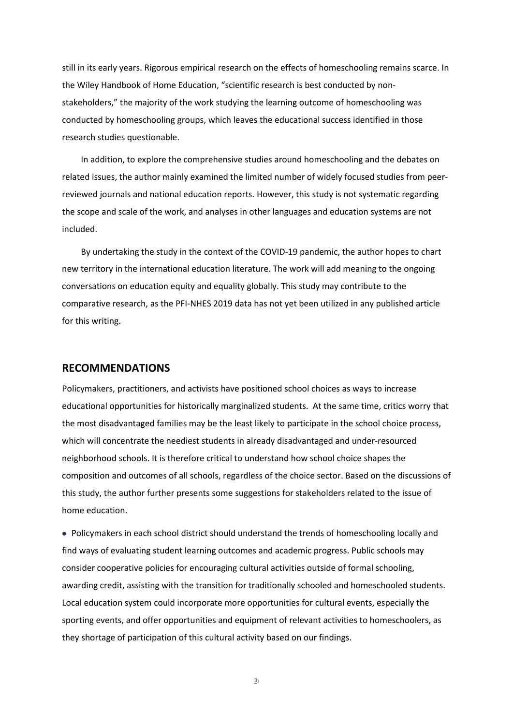still in its early years. Rigorous empirical research on the effects of homeschooling remains scarce. In the Wiley Handbook of Home Education, "scientific research is best conducted by nonstakeholders," the majority of the work studying the learning outcome of homeschooling was conducted by homeschooling groups, which leaves the educational success identified in those research studies questionable.

In addition, to explore the comprehensive studies around homeschooling and the debates on related issues, the author mainly examined the limited number of widely focused studies from peerreviewed journals and national education reports. However, this study is not systematic regarding the scope and scale of the work, and analyses in other languages and education systems are not included.

By undertaking the study in the context of the COVID-19 pandemic, the author hopes to chart new territory in the international education literature. The work will add meaning to the ongoing conversations on education equity and equality globally. This study may contribute to the comparative research, as the PFI-NHES 2019 data has not yet been utilized in any published article for this writing.

#### <span id="page-36-0"></span>**RECOMMENDATIONS**

Policymakers, practitioners, and activists have positioned school choices as ways to increase educational opportunities for historically marginalized students. At the same time, critics worry that the most disadvantaged families may be the least likely to participate in the school choice process, which will concentrate the neediest students in already disadvantaged and under-resourced neighborhood schools. It is therefore critical to understand how school choice shapes the composition and outcomes of all schools, regardless of the choice sector. Based on the discussions of this study, the author further presents some suggestions for stakeholders related to the issue of home education.

• Policymakers in each school district should understand the trends of homeschooling locally and find ways of evaluating student learning outcomes and academic progress. Public schools may consider cooperative policies for encouraging cultural activities outside of formal schooling, awarding credit, assisting with the transition for traditionally schooled and homeschooled students. Local education system could incorporate more opportunities for cultural events, especially the sporting events, and offer opportunities and equipment of relevant activities to homeschoolers, as they shortage of participation of this cultural activity based on our findings.

 $3<sub>6</sub>$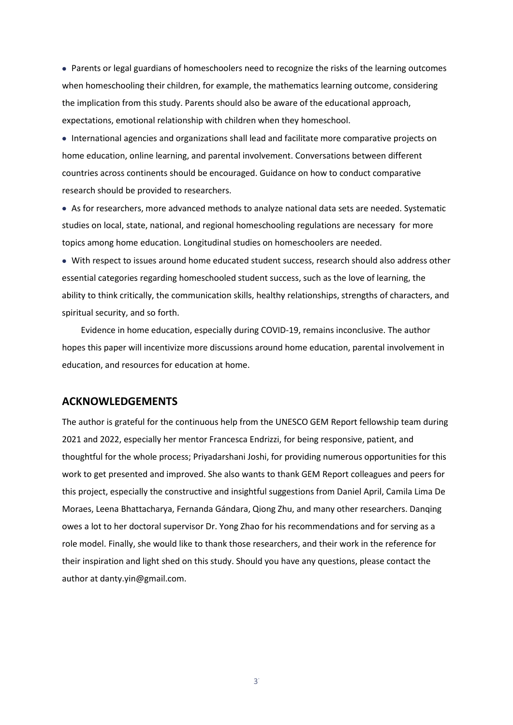• Parents or legal guardians of homeschoolers need to recognize the risks of the learning outcomes when homeschooling their children, for example, the mathematics learning outcome, considering the implication from this study. Parents should also be aware of the educational approach, expectations, emotional relationship with children when they homeschool.

• International agencies and organizations shall lead and facilitate more comparative projects on home education, online learning, and parental involvement. Conversations between different countries across continents should be encouraged. Guidance on how to conduct comparative research should be provided to researchers.

• As for researchers, more advanced methods to analyze national data sets are needed. Systematic studies on local, state, national, and regional homeschooling regulations are necessary for more topics among home education. Longitudinal studies on homeschoolers are needed.

• With respect to issues around home educated student success, research should also address other essential categories regarding homeschooled student success, such as the love of learning, the ability to think critically, the communication skills, healthy relationships, strengths of characters, and spiritual security, and so forth.

Evidence in home education, especially during COVID-19, remains inconclusive. The author hopes this paper will incentivize more discussions around home education, parental involvement in education, and resources for education at home.

#### <span id="page-37-0"></span>**ACKNOWLEDGEMENTS**

The author is grateful for the continuous help from the UNESCO GEM Report fellowship team during 2021 and 2022, especially her mentor Francesca Endrizzi, for being responsive, patient, and thoughtful for the whole process; Priyadarshani Joshi, for providing numerous opportunities for this work to get presented and improved. She also wants to thank GEM Report colleagues and peers for this project, especially the constructive and insightful suggestions from Daniel April, Camila Lima De Moraes, Leena Bhattacharya, Fernanda Gándara, Qiong Zhu, and many other researchers. Danqing owes a lot to her doctoral supervisor Dr. Yong Zhao for his recommendations and for serving as a role model. Finally, she would like to thank those researchers, and their work in the reference for their inspiration and light shed on this study. Should you have any questions, please contact the author at danty.yin@gmail.com.

 $3<sup>7</sup>$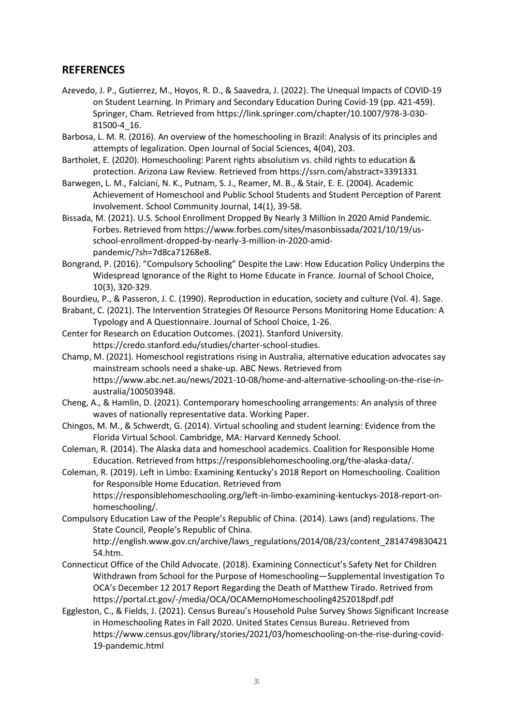### <span id="page-38-0"></span>**REFERENCES**

- Azevedo, J. P., Gutierrez, M., Hoyos, R. D., & Saavedra, J. (2022). The Unequal Impacts of COVID-19 on Student Learning. In Primary and Secondary Education During Covid-19 (pp. 421-459). Springer, Cham. Retrieved from https://link.springer.com/chapter/10.1007/978-3-030- 81500-4\_16.
- Barbosa, L. M. R. (2016). An overview of the homeschooling in Brazil: Analysis of its principles and attempts of legalization. Open Journal of Social Sciences, 4(04), 203.
- Bartholet, E. (2020). Homeschooling: Parent rights absolutism vs. child rights to education & protection. Arizona Law Review. Retrieved from https://ssrn.com/abstract=3391331
- Barwegen, L. M., Falciani, N. K., Putnam, S. J., Reamer, M. B., & Stair, E. E. (2004). Academic Achievement of Homeschool and Public School Students and Student Perception of Parent Involvement. School Community Journal, 14(1), 39-58.
- Bissada, M. (2021). U.S. School Enrollment Dropped By Nearly 3 Million In 2020 Amid Pandemic. Forbes. Retrieved from https://www.forbes.com/sites/masonbissada/2021/10/19/usschool-enrollment-dropped-by-nearly-3-million-in-2020-amidpandemic/?sh=7d8ca71268e8.
- Bongrand, P. (2016). "Compulsory Schooling" Despite the Law: How Education Policy Underpins the Widespread Ignorance of the Right to Home Educate in France. Journal of School Choice, 10(3), 320-329.
- Bourdieu, P., & Passeron, J. C. (1990). Reproduction in education, society and culture (Vol. 4). Sage.
- Brabant, C. (2021). The Intervention Strategies Of Resource Persons Monitoring Home Education: A Typology and A Questionnaire. Journal of School Choice, 1-26.
- Center for Research on Education Outcomes. (2021). Stanford University. https://credo.stanford.edu/studies/charter-school-studies.
- Champ, M. (2021). Homeschool registrations rising in Australia, alternative education advocates say mainstream schools need a shake-up. ABC News. Retrieved from https://www.abc.net.au/news/2021-10-08/home-and-alternative-schooling-on-the-rise-inaustralia/100503948.
- Cheng, A., & Hamlin, D. (2021). Contemporary homeschooling arrangements: An analysis of three waves of nationally representative data. Working Paper.
- Chingos, M. M., & Schwerdt, G. (2014). Virtual schooling and student learning: Evidence from the Florida Virtual School. Cambridge, MA: Harvard Kennedy School.
- Coleman, R. (2014). The Alaska data and homeschool academics. Coalition for Responsible Home Education. Retrieved from https://responsiblehomeschooling.org/the-alaska-data/.
- Coleman, R. (2019). Left in Limbo: Examining Kentucky's 2018 Report on Homeschooling. Coalition for Responsible Home Education. Retrieved from https://responsiblehomeschooling.org/left-in-limbo-examining-kentuckys-2018-report-onhomeschooling/.
- Compulsory Education Law of the People's Republic of China. (2014). Laws (and) regulations. The State Council, People's Republic of China.

http://english.www.gov.cn/archive/laws\_regulations/2014/08/23/content\_2814749830421 54.htm.

- Connecticut Office of the Child Advocate. (2018). Examining Connecticut's Safety Net for Children Withdrawn from School for the Purpose of Homeschooling—Supplemental Investigation To OCA's December 12 2017 Report Regarding the Death of Matthew Tirado. Retrived from https://portal.ct.gov/-/media/OCA/OCAMemoHomeschooling4252018pdf.pdf
- Eggleston, C., & Fields, J. (2021). Census Bureau's Household Pulse Survey Shows Significant Increase in Homeschooling Rates in Fall 2020. United States Census Bureau. Retrieved from https://www.census.gov/library/stories/2021/03/homeschooling-on-the-rise-during-covid-19-pandemic.html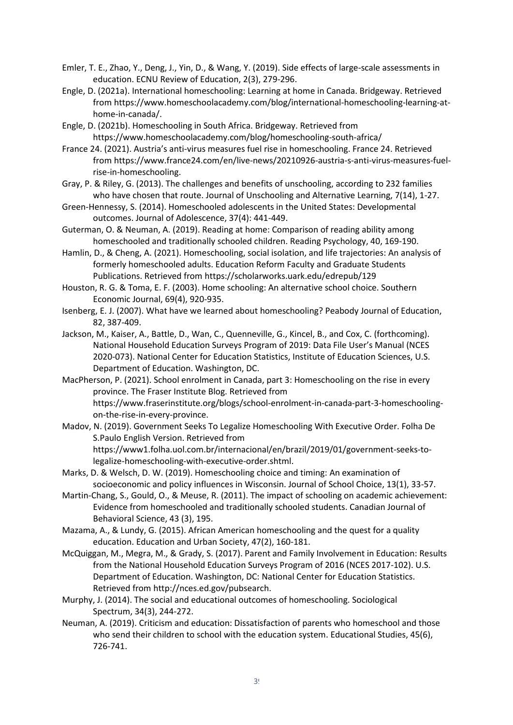- Emler, T. E., Zhao, Y., Deng, J., Yin, D., & Wang, Y. (2019). Side effects of large-scale assessments in education. ECNU Review of Education, 2(3), 279-296.
- Engle, D. (2021a). International homeschooling: Learning at home in Canada. Bridgeway. Retrieved from https://www.homeschoolacademy.com/blog/international-homeschooling-learning-athome-in-canada/.
- Engle, D. (2021b). Homeschooling in South Africa. Bridgeway. Retrieved from https://www.homeschoolacademy.com/blog/homeschooling-south-africa/
- France 24. (2021). Austria's anti-virus measures fuel rise in homeschooling. France 24. Retrieved from https://www.france24.com/en/live-news/20210926-austria-s-anti-virus-measures-fuelrise-in-homeschooling.
- Gray, P. & Riley, G. (2013). The challenges and benefits of unschooling, according to 232 families who have chosen that route. Journal of Unschooling and Alternative Learning, 7(14), 1-27.
- Green-Hennessy, S. (2014). Homeschooled adolescents in the United States: Developmental outcomes. Journal of Adolescence, 37(4): 441-449.
- Guterman, O. & Neuman, A. (2019). Reading at home: Comparison of reading ability among homeschooled and traditionally schooled children. Reading Psychology, 40, 169-190.
- Hamlin, D., & Cheng, A. (2021). Homeschooling, social isolation, and life trajectories: An analysis of formerly homeschooled adults. Education Reform Faculty and Graduate Students Publications. Retrieved from https://scholarworks.uark.edu/edrepub/129
- Houston, R. G. & Toma, E. F. (2003). Home schooling: An alternative school choice. Southern Economic Journal, 69(4), 920-935.
- Isenberg, E. J. (2007). What have we learned about homeschooling? Peabody Journal of Education, 82, 387-409.
- Jackson, M., Kaiser, A., Battle, D., Wan, C., Quenneville, G., Kincel, B., and Cox, C. (forthcoming). National Household Education Surveys Program of 2019: Data File User's Manual (NCES 2020-073). National Center for Education Statistics, Institute of Education Sciences, U.S. Department of Education. Washington, DC.
- MacPherson, P. (2021). School enrolment in Canada, part 3: Homeschooling on the rise in every province. The Fraser Institute Blog. Retrieved from https://www.fraserinstitute.org/blogs/school-enrolment-in-canada-part-3-homeschoolingon-the-rise-in-every-province.
- Madov, N. (2019). Government Seeks To Legalize Homeschooling With Executive Order. Folha De S.Paulo English Version. Retrieved from https://www1.folha.uol.com.br/internacional/en/brazil/2019/01/government-seeks-tolegalize-homeschooling-with-executive-order.shtml.
- Marks, D. & Welsch, D. W. (2019). Homeschooling choice and timing: An examination of socioeconomic and policy influences in Wisconsin. Journal of School Choice, 13(1), 33-57.
- Martin-Chang, S., Gould, O., & Meuse, R. (2011). The impact of schooling on academic achievement: Evidence from homeschooled and traditionally schooled students. Canadian Journal of Behavioral Science, 43 (3), 195.
- Mazama, A., & Lundy, G. (2015). African American homeschooling and the quest for a quality education. Education and Urban Society, 47(2), 160-181.
- McQuiggan, M., Megra, M., & Grady, S. (2017). Parent and Family Involvement in Education: Results from the National Household Education Surveys Program of 2016 (NCES 2017-102). U.S. Department of Education. Washington, DC: National Center for Education Statistics. Retrieved from http://nces.ed.gov/pubsearch.
- Murphy, J. (2014). The social and educational outcomes of homeschooling. Sociological Spectrum, 34(3), 244-272.
- Neuman, A. (2019). Criticism and education: Dissatisfaction of parents who homeschool and those who send their children to school with the education system. Educational Studies, 45(6), 726-741.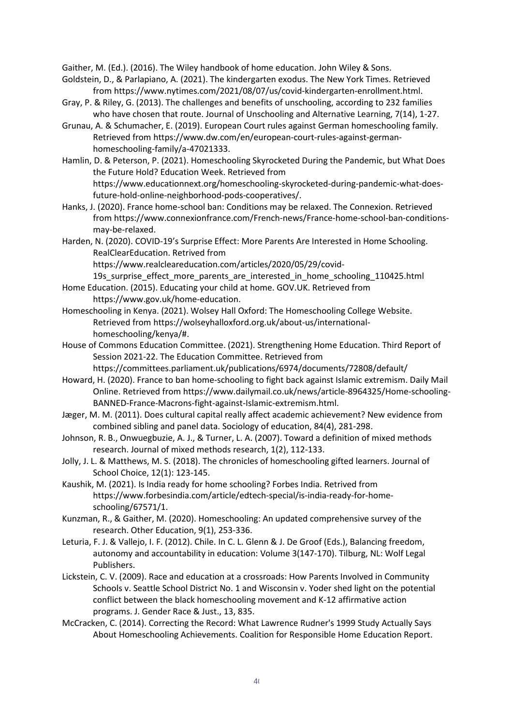Gaither, M. (Ed.). (2016). The Wiley handbook of home education. John Wiley & Sons.

- Goldstein, D., & Parlapiano, A. (2021). The kindergarten exodus. The New York Times. Retrieved from https://www.nytimes.com/2021/08/07/us/covid-kindergarten-enrollment.html.
- Gray, P. & Riley, G. (2013). The challenges and benefits of unschooling, according to 232 families who have chosen that route. Journal of Unschooling and Alternative Learning, 7(14), 1-27.
- Grunau, A. & Schumacher, E. (2019). European Court rules against German homeschooling family. Retrieved from https://www.dw.com/en/european-court-rules-against-germanhomeschooling-family/a-47021333.
- Hamlin, D. & Peterson, P. (2021). Homeschooling Skyrocketed During the Pandemic, but What Does the Future Hold? Education Week. Retrieved from

https://www.educationnext.org/homeschooling-skyrocketed-during-pandemic-what-doesfuture-hold-online-neighborhood-pods-cooperatives/.

- Hanks, J. (2020). France home-school ban: Conditions may be relaxed. The Connexion. Retrieved from https://www.connexionfrance.com/French-news/France-home-school-ban-conditionsmay-be-relaxed.
- Harden, N. (2020). COVID-19's Surprise Effect: More Parents Are Interested in Home Schooling. RealClearEducation. Retrived from

https://www.realcleareducation.com/articles/2020/05/29/covid-

19s\_surprise\_effect\_more\_parents\_are\_interested\_in\_home\_schooling\_110425.html Home Education. (2015). Educating your child at home. GOV.UK. Retrieved from

https://www.gov.uk/home-education.

- Homeschooling in Kenya. (2021). Wolsey Hall Oxford: The Homeschooling College Website. Retrieved from https://wolseyhalloxford.org.uk/about-us/internationalhomeschooling/kenya/#.
- House of Commons Education Committee. (2021). Strengthening Home Education. Third Report of Session 2021-22. The Education Committee. Retrieved from https://committees.parliament.uk/publications/6974/documents/72808/default/
- Howard, H. (2020). France to ban home-schooling to fight back against Islamic extremism. Daily Mail Online. Retrieved from https://www.dailymail.co.uk/news/article-8964325/Home-schooling-BANNED-France-Macrons-fight-against-Islamic-extremism.html.
- Jæger, M. M. (2011). Does cultural capital really affect academic achievement? New evidence from combined sibling and panel data. Sociology of education, 84(4), 281-298.
- Johnson, R. B., Onwuegbuzie, A. J., & Turner, L. A. (2007). Toward a definition of mixed methods research. Journal of mixed methods research, 1(2), 112-133.
- Jolly, J. L. & Matthews, M. S. (2018). The chronicles of homeschooling gifted learners. Journal of School Choice, 12(1): 123-145.
- Kaushik, M. (2021). Is India ready for home schooling? Forbes India. Retrived from https://www.forbesindia.com/article/edtech-special/is-india-ready-for-homeschooling/67571/1.
- Kunzman, R., & Gaither, M. (2020). Homeschooling: An updated comprehensive survey of the research. Other Education, 9(1), 253-336.
- Leturia, F. J. & Vallejo, I. F. (2012). Chile. In C. L. Glenn & J. De Groof (Eds.), Balancing freedom, autonomy and accountability in education: Volume 3(147-170). Tilburg, NL: Wolf Legal Publishers.
- Lickstein, C. V. (2009). Race and education at a crossroads: How Parents Involved in Community Schools v. Seattle School District No. 1 and Wisconsin v. Yoder shed light on the potential conflict between the black homeschooling movement and K-12 affirmative action programs. J. Gender Race & Just., 13, 835.
- McCracken, C. (2014). Correcting the Record: What Lawrence Rudner's 1999 Study Actually Says About Homeschooling Achievements. Coalition for Responsible Home Education Report.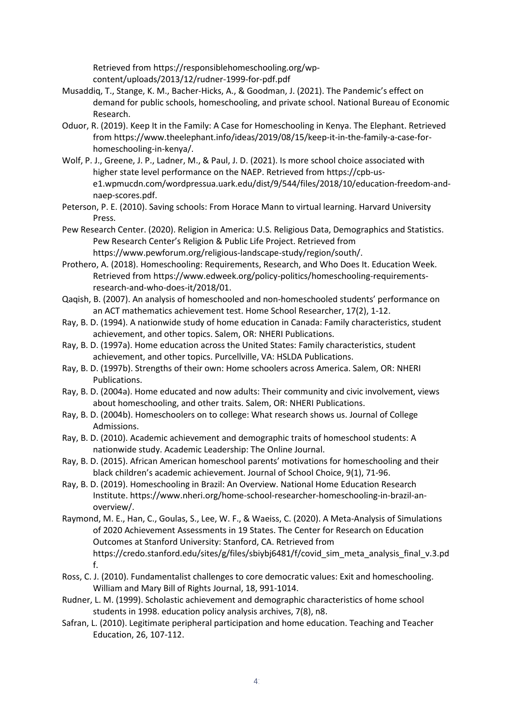Retrieved from https://responsiblehomeschooling.org/wpcontent/uploads/2013/12/rudner-1999-for-pdf.pdf

- Musaddiq, T., Stange, K. M., Bacher-Hicks, A., & Goodman, J. (2021). The Pandemic's effect on demand for public schools, homeschooling, and private school. National Bureau of Economic Research.
- Oduor, R. (2019). Keep It in the Family: A Case for Homeschooling in Kenya. The Elephant. Retrieved from https://www.theelephant.info/ideas/2019/08/15/keep-it-in-the-family-a-case-forhomeschooling-in-kenya/.
- Wolf, P. J., Greene, J. P., Ladner, M., & Paul, J. D. (2021). Is more school choice associated with higher state level performance on the NAEP. Retrieved from https://cpb-use1.wpmucdn.com/wordpressua.uark.edu/dist/9/544/files/2018/10/education-freedom-andnaep-scores.pdf.
- Peterson, P. E. (2010). Saving schools: From Horace Mann to virtual learning. Harvard University Press.
- Pew Research Center. (2020). Religion in America: U.S. Religious Data, Demographics and Statistics. Pew Research Center's Religion & Public Life Project. Retrieved from https://www.pewforum.org/religious-landscape-study/region/south/.
- Prothero, A. (2018). Homeschooling: Requirements, Research, and Who Does It. Education Week. Retrieved from https://www.edweek.org/policy-politics/homeschooling-requirementsresearch-and-who-does-it/2018/01.
- Qaqish, B. (2007). An analysis of homeschooled and non-homeschooled students' performance on an ACT mathematics achievement test. Home School Researcher, 17(2), 1-12.
- Ray, B. D. (1994). A nationwide study of home education in Canada: Family characteristics, student achievement, and other topics. Salem, OR: NHERI Publications.
- Ray, B. D. (1997a). Home education across the United States: Family characteristics, student achievement, and other topics. Purcellville, VA: HSLDA Publications.
- Ray, B. D. (1997b). Strengths of their own: Home schoolers across America. Salem, OR: NHERI Publications.
- Ray, B. D. (2004a). Home educated and now adults: Their community and civic involvement, views about homeschooling, and other traits. Salem, OR: NHERI Publications.
- Ray, B. D. (2004b). Homeschoolers on to college: What research shows us. Journal of College Admissions.
- Ray, B. D. (2010). Academic achievement and demographic traits of homeschool students: A nationwide study. Academic Leadership: The Online Journal.
- Ray, B. D. (2015). African American homeschool parents' motivations for homeschooling and their black children's academic achievement. Journal of School Choice, 9(1), 71-96.
- Ray, B. D. (2019). Homeschooling in Brazil: An Overview. National Home Education Research Institute. https://www.nheri.org/home-school-researcher-homeschooling-in-brazil-anoverview/.
- Raymond, M. E., Han, C., Goulas, S., Lee, W. F., & Waeiss, C. (2020). A Meta-Analysis of Simulations of 2020 Achievement Assessments in 19 States. The Center for Research on Education Outcomes at Stanford University: Stanford, CA. Retrieved from https://credo.stanford.edu/sites/g/files/sbiybj6481/f/covid\_sim\_meta\_analysis\_final\_v.3.pd f.
- Ross, C. J. (2010). Fundamentalist challenges to core democratic values: Exit and homeschooling. William and Mary Bill of Rights Journal, 18, 991-1014.
- Rudner, L. M. (1999). Scholastic achievement and demographic characteristics of home school students in 1998. education policy analysis archives, 7(8), n8.
- Safran, L. (2010). Legitimate peripheral participation and home education. Teaching and Teacher Education, 26, 107-112.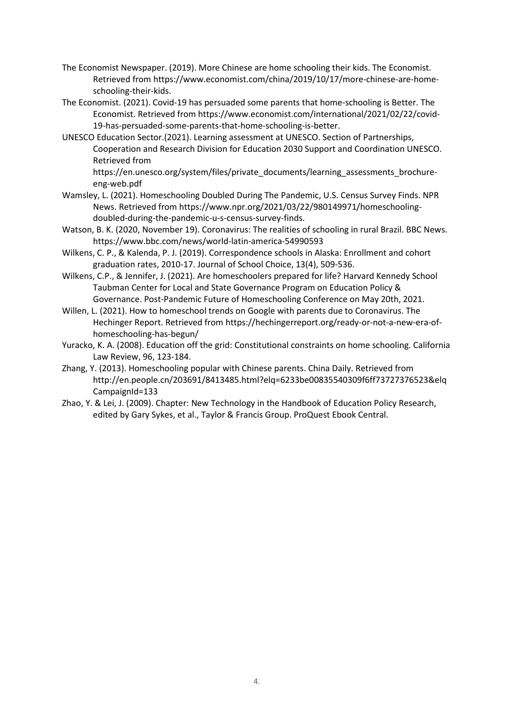- The Economist Newspaper. (2019). More Chinese are home schooling their kids. The Economist. Retrieved from https://www.economist.com/china/2019/10/17/more-chinese-are-homeschooling-their-kids.
- The Economist. (2021). Covid-19 has persuaded some parents that home-schooling is Better. The Economist. Retrieved from https://www.economist.com/international/2021/02/22/covid-19-has-persuaded-some-parents-that-home-schooling-is-better.
- UNESCO Education Sector.(2021). Learning assessment at UNESCO. Section of Partnerships, Cooperation and Research Division for Education 2030 Support and Coordination UNESCO. Retrieved from

https://en.unesco.org/system/files/private\_documents/learning\_assessments\_brochureeng-web.pdf

- Wamsley, L. (2021). Homeschooling Doubled During The Pandemic, U.S. Census Survey Finds. NPR News. Retrieved from https://www.npr.org/2021/03/22/980149971/homeschoolingdoubled-during-the-pandemic-u-s-census-survey-finds.
- Watson, B. K. (2020, November 19). Coronavirus: The realities of schooling in rural Brazil. BBC News. https://www.bbc.com/news/world-latin-america-54990593
- Wilkens, C. P., & Kalenda, P. J. (2019). Correspondence schools in Alaska: Enrollment and cohort graduation rates, 2010-17. Journal of School Choice, 13(4), 509-536.
- Wilkens, C.P., & Jennifer, J. (2021). Are homeschoolers prepared for life? Harvard Kennedy School Taubman Center for Local and State Governance Program on Education Policy & Governance. Post-Pandemic Future of Homeschooling Conference on May 20th, 2021.
- Willen, L. (2021). How to homeschool trends on Google with parents due to Coronavirus. The Hechinger Report. Retrieved from https://hechingerreport.org/ready-or-not-a-new-era-ofhomeschooling-has-begun/
- Yuracko, K. A. (2008). Education off the grid: Constitutional constraints on home schooling. California Law Review, 96, 123-184.
- Zhang, Y. (2013). Homeschooling popular with Chinese parents. China Daily. Retrieved from http://en.people.cn/203691/8413485.html?elq=6233be00835540309f6ff73727376523&elq CampaignId=133
- Zhao, Y. & Lei, J. (2009). Chapter: New Technology in the Handbook of Education Policy Research, edited by Gary Sykes, et al., Taylor & Francis Group. ProQuest Ebook Central.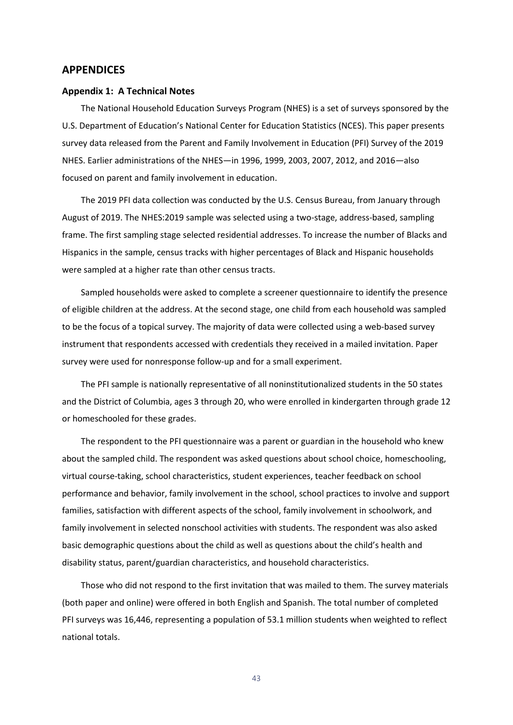#### <span id="page-43-0"></span>**APPENDICES**

#### <span id="page-43-1"></span>**Appendix 1: A Technical Notes**

The National Household Education Surveys Program (NHES) is a set of surveys sponsored by the U.S. Department of Education's National Center for Education Statistics (NCES). This paper presents survey data released from the Parent and Family Involvement in Education (PFI) Survey of the 2019 NHES. Earlier administrations of the NHES—in 1996, 1999, 2003, 2007, 2012, and 2016—also focused on parent and family involvement in education.

The 2019 PFI data collection was conducted by the U.S. Census Bureau, from January through August of 2019. The NHES:2019 sample was selected using a two-stage, address-based, sampling frame. The first sampling stage selected residential addresses. To increase the number of Blacks and Hispanics in the sample, census tracks with higher percentages of Black and Hispanic households were sampled at a higher rate than other census tracts.

Sampled households were asked to complete a screener questionnaire to identify the presence of eligible children at the address. At the second stage, one child from each household was sampled to be the focus of a topical survey. The majority of data were collected using a web-based survey instrument that respondents accessed with credentials they received in a mailed invitation. Paper survey were used for nonresponse follow-up and for a small experiment.

The PFI sample is nationally representative of all noninstitutionalized students in the 50 states and the District of Columbia, ages 3 through 20, who were enrolled in kindergarten through grade 12 or homeschooled for these grades.

The respondent to the PFI questionnaire was a parent or guardian in the household who knew about the sampled child. The respondent was asked questions about school choice, homeschooling, virtual course-taking, school characteristics, student experiences, teacher feedback on school performance and behavior, family involvement in the school, school practices to involve and support families, satisfaction with different aspects of the school, family involvement in schoolwork, and family involvement in selected nonschool activities with students. The respondent was also asked basic demographic questions about the child as well as questions about the child's health and disability status, parent/guardian characteristics, and household characteristics.

Those who did not respond to the first invitation that was mailed to them. The survey materials (both paper and online) were offered in both English and Spanish. The total number of completed PFI surveys was 16,446, representing a population of 53.1 million students when weighted to reflect national totals.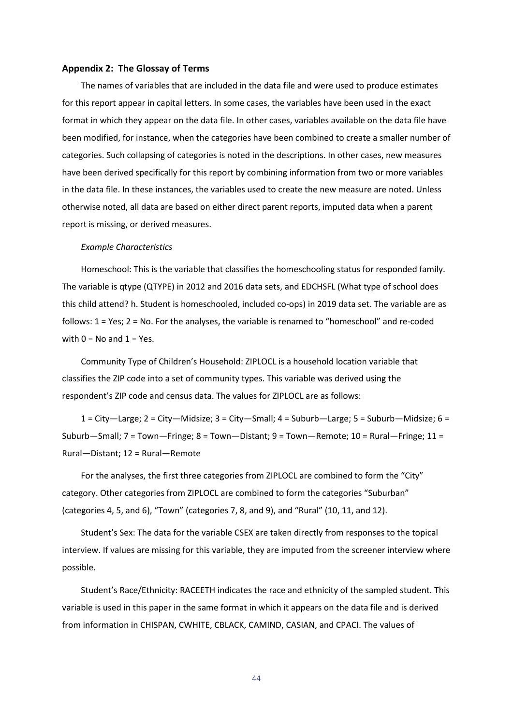#### <span id="page-44-0"></span>**Appendix 2: The Glossay of Terms**

The names of variables that are included in the data file and were used to produce estimates for this report appear in capital letters. In some cases, the variables have been used in the exact format in which they appear on the data file. In other cases, variables available on the data file have been modified, for instance, when the categories have been combined to create a smaller number of categories. Such collapsing of categories is noted in the descriptions. In other cases, new measures have been derived specifically for this report by combining information from two or more variables in the data file. In these instances, the variables used to create the new measure are noted. Unless otherwise noted, all data are based on either direct parent reports, imputed data when a parent report is missing, or derived measures.

#### *Example Characteristics*

Homeschool: This is the variable that classifies the homeschooling status for responded family. The variable is qtype (QTYPE) in 2012 and 2016 data sets, and EDCHSFL (What type of school does this child attend? h. Student is homeschooled, included co-ops) in 2019 data set. The variable are as follows: 1 = Yes; 2 = No. For the analyses, the variable is renamed to "homeschool" and re-coded with  $0 = No$  and  $1 = Yes$ .

Community Type of Children's Household: ZIPLOCL is a household location variable that classifies the ZIP code into a set of community types. This variable was derived using the respondent's ZIP code and census data. The values for ZIPLOCL are as follows:

1 = City—Large; 2 = City—Midsize; 3 = City—Small; 4 = Suburb—Large; 5 = Suburb—Midsize; 6 = Suburb—Small; 7 = Town—Fringe; 8 = Town—Distant; 9 = Town—Remote; 10 = Rural—Fringe; 11 = Rural—Distant; 12 = Rural—Remote

For the analyses, the first three categories from ZIPLOCL are combined to form the "City" category. Other categories from ZIPLOCL are combined to form the categories "Suburban" (categories 4, 5, and 6), "Town" (categories 7, 8, and 9), and "Rural" (10, 11, and 12).

Student's Sex: The data for the variable CSEX are taken directly from responses to the topical interview. If values are missing for this variable, they are imputed from the screener interview where possible.

Student's Race/Ethnicity: RACEETH indicates the race and ethnicity of the sampled student. This variable is used in this paper in the same format in which it appears on the data file and is derived from information in CHISPAN, CWHITE, CBLACK, CAMIND, CASIAN, and CPACI. The values of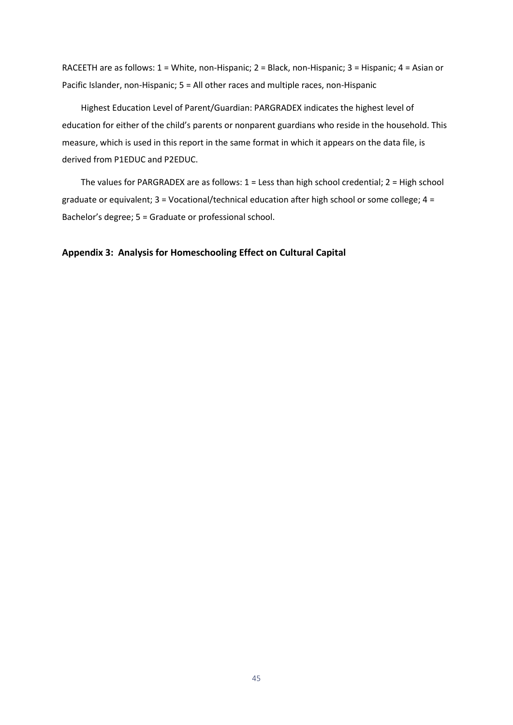RACEETH are as follows: 1 = White, non-Hispanic; 2 = Black, non-Hispanic; 3 = Hispanic; 4 = Asian or Pacific Islander, non-Hispanic; 5 = All other races and multiple races, non-Hispanic

Highest Education Level of Parent/Guardian: PARGRADEX indicates the highest level of education for either of the child's parents or nonparent guardians who reside in the household. This measure, which is used in this report in the same format in which it appears on the data file, is derived from P1EDUC and P2EDUC.

The values for PARGRADEX are as follows: 1 = Less than high school credential; 2 = High school graduate or equivalent; 3 = Vocational/technical education after high school or some college; 4 = Bachelor's degree; 5 = Graduate or professional school.

#### <span id="page-45-0"></span>**Appendix 3: Analysis for Homeschooling Effect on Cultural Capital**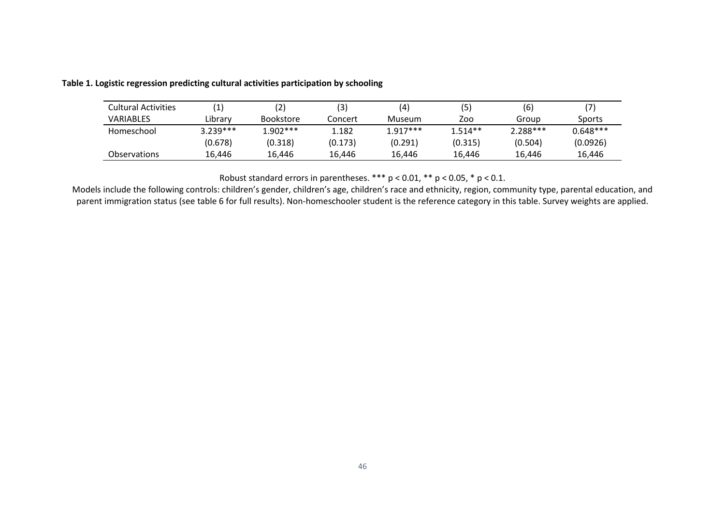| Cultural Activities |            |                  | (3)     | (4)        | (5)       | (6)        |            |
|---------------------|------------|------------------|---------|------------|-----------|------------|------------|
| <b>VARIABLES</b>    | Library    | <b>Bookstore</b> | Concert | Museum     | Zoo       | Group      | Sports     |
| Homeschool          | $3.239***$ | $1.902***$       | 1.182   | $1.917***$ | $1.514**$ | $2.288***$ | $0.648***$ |
|                     | (0.678)    | (0.318)          | (0.173) | (0.291)    | (0.315)   | (0.504)    | (0.0926)   |
| <b>Observations</b> | 16.446     | 16.446           | 16.446  | 16.446     | 16.446    | 16.446     | 16,446     |

#### **Table 1. Logistic regression predicting cultural activities participation by schooling**

Robust standard errors in parentheses. \*\*\* p < 0.01, \*\* p < 0.05, \* p < 0.1.

Models include the following controls: children's gender, children's age, children's race and ethnicity, region, community type, parental education, and parent immigration status (see table 6 for full results). Non-homeschooler student is the reference category in this table. Survey weights are applied.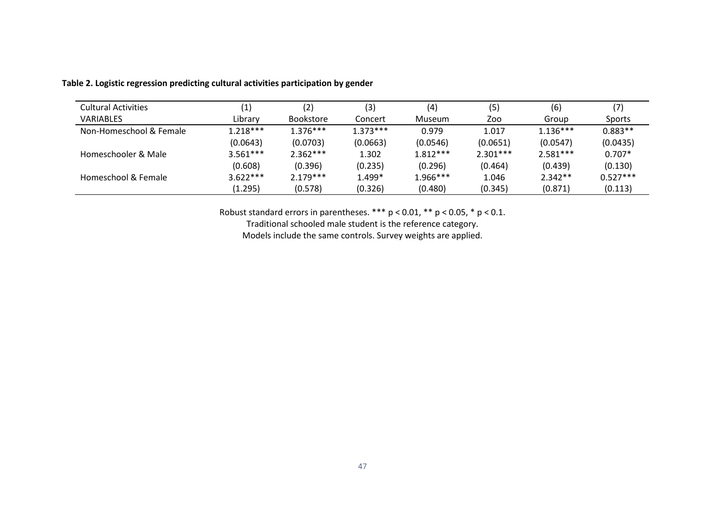| <b>Cultural Activities</b> | (1         | (2)              | (3)        | (4)        | (5         | (6)        | (7)        |
|----------------------------|------------|------------------|------------|------------|------------|------------|------------|
| <b>VARIABLES</b>           | Library    | <b>Bookstore</b> | Concert    | Museum     | Zoo        | Group      | Sports     |
| Non-Homeschool & Female    | $1.218***$ | $1.376***$       | $1.373***$ | 0.979      | 1.017      | $1.136***$ | $0.883**$  |
|                            | (0.0643)   | (0.0703)         | (0.0663)   | (0.0546)   | (0.0651)   | (0.0547)   | (0.0435)   |
| Homeschooler & Male        | $3.561***$ | $2.362***$       | 1.302      | $1.812***$ | $2.301***$ | $2.581***$ | $0.707*$   |
|                            | (0.608)    | (0.396)          | (0.235)    | (0.296)    | (0.464)    | (0.439)    | (0.130)    |
| Homeschool & Female        | $3.622***$ | $2.179***$       | 1.499*     | 1.966***   | 1.046      | $2.342**$  | $0.527***$ |
|                            | (1.295)    | (0.578)          | (0.326)    | (0.480)    | (0.345)    | (0.871)    | (0.113)    |

#### **Table 2. Logistic regression predicting cultural activities participation by gender**

Robust standard errors in parentheses.  $*** p < 0.01$ ,  $** p < 0.05$ ,  $* p < 0.1$ .

Traditional schooled male student is the reference category.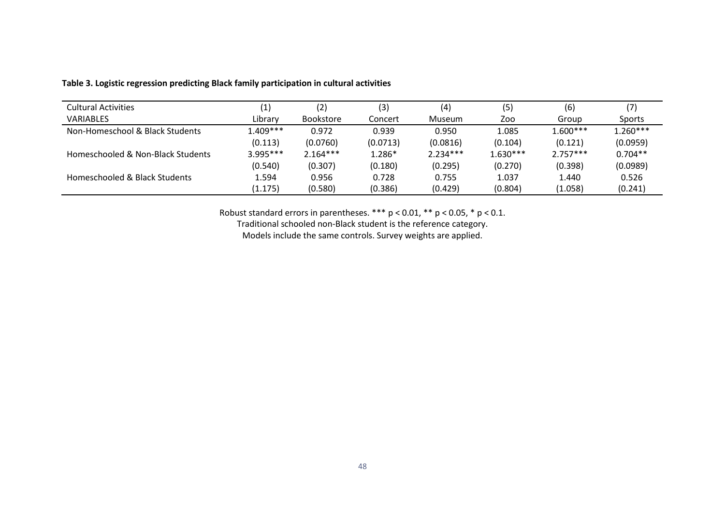| <b>Cultural Activities</b>        | $\left( 1\right)$ | (2)              | (3)      | (4)        | (5)        | (6)        |            |
|-----------------------------------|-------------------|------------------|----------|------------|------------|------------|------------|
| <b>VARIABLES</b>                  | Library           | <b>Bookstore</b> | Concert  | Museum     | Zoo        | Group      | Sports     |
| Non-Homeschool & Black Students   | $1.409***$        | 0.972            | 0.939    | 0.950      | 1.085      | $1.600***$ | $1.260***$ |
|                                   | (0.113)           | (0.0760)         | (0.0713) | (0.0816)   | (0.104)    | (0.121)    | (0.0959)   |
| Homeschooled & Non-Black Students | $3.995***$        | $2.164***$       | 1.286*   | $2.234***$ | $1.630***$ | $2.757***$ | $0.704**$  |
|                                   | (0.540)           | (0.307)          | (0.180)  | (0.295)    | (0.270)    | (0.398)    | (0.0989)   |
| Homeschooled & Black Students     | 1.594             | 0.956            | 0.728    | 0.755      | 1.037      | 1.440      | 0.526      |
|                                   | (1.175)           | (0.580)          | (0.386)  | (0.429)    | (0.804)    | (1.058)    | (0.241)    |

#### **Table 3. Logistic regression predicting Black family participation in cultural activities**

Robust standard errors in parentheses. \*\*\*  $p < 0.01$ , \*\*  $p < 0.05$ , \*  $p < 0.1$ .

Traditional schooled non-Black student is the reference category.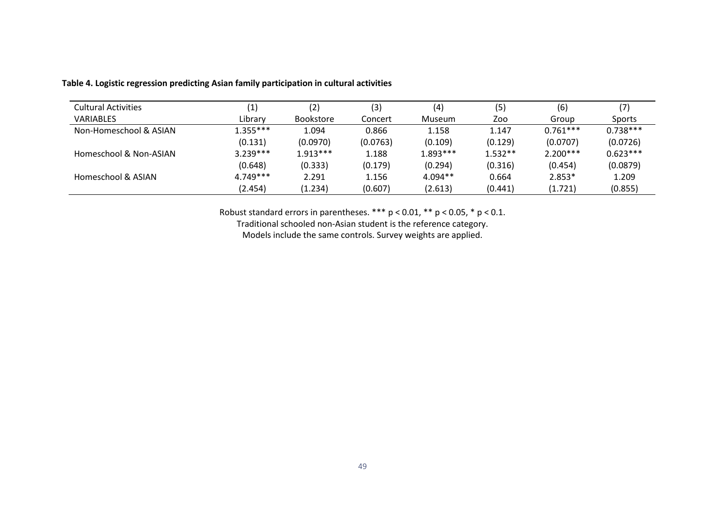| <b>Cultural Activities</b> | (1)        | (2)              | (3)      | (4)       | (5)       | (6)        |               |
|----------------------------|------------|------------------|----------|-----------|-----------|------------|---------------|
| <b>VARIABLES</b>           | Library    | <b>Bookstore</b> | Concert  | Museum    | Zoo       | Group      | <b>Sports</b> |
| Non-Homeschool & ASIAN     | $1.355***$ | 1.094            | 0.866    | 1.158     | 1.147     | $0.761***$ | $0.738***$    |
|                            | (0.131)    | (0.0970)         | (0.0763) | (0.109)   | (0.129)   | (0.0707)   | (0.0726)      |
| Homeschool & Non-ASIAN     | $3.239***$ | $1.913***$       | 1.188    | 1.893 *** | $1.532**$ | $2.200***$ | $0.623***$    |
|                            | (0.648)    | (0.333)          | (0.179)  | (0.294)   | (0.316)   | (0.454)    | (0.0879)      |
| Homeschool & ASIAN         | $4.749***$ | 2.291            | 1.156    | $4.094**$ | 0.664     | $2.853*$   | 1.209         |
|                            | (2.454)    | (1.234)          | (0.607)  | (2.613)   | (0.441)   | (1.721)    | (0.855)       |

#### **Table 4. Logistic regression predicting Asian family participation in cultural activities**

Robust standard errors in parentheses. \*\*\*  $p < 0.01$ , \*\*  $p < 0.05$ , \*  $p < 0.1$ .

Traditional schooled non-Asian student is the reference category.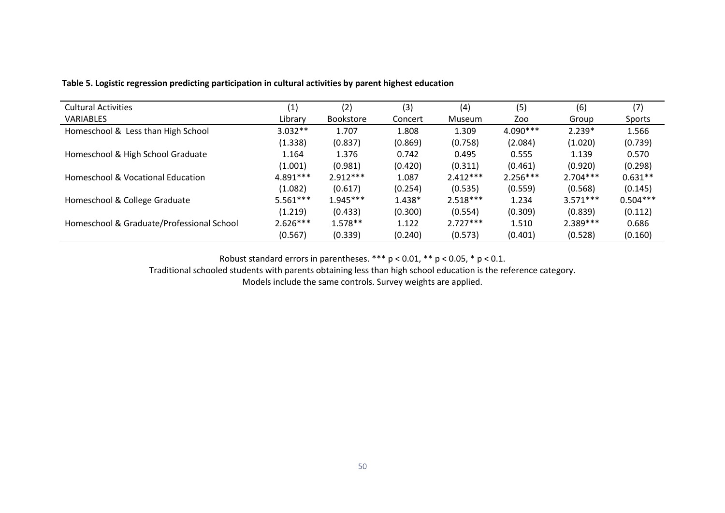| <b>Cultural Activities</b>                | (1)        | (2)              | (3)      | (4)        | (5)        | (6)        | (7)        |
|-------------------------------------------|------------|------------------|----------|------------|------------|------------|------------|
| <b>VARIABLES</b>                          | Library    | <b>Bookstore</b> | Concert  | Museum     | Zoo        | Group      | Sports     |
| Homeschool & Less than High School        | $3.032**$  | 1.707            | 1.808    | 1.309      | 4.090***   | $2.239*$   | 1.566      |
|                                           | (1.338)    | (0.837)          | (0.869)  | (0.758)    | (2.084)    | (1.020)    | (0.739)    |
| Homeschool & High School Graduate         | 1.164      | 1.376            | 0.742    | 0.495      | 0.555      | 1.139      | 0.570      |
|                                           | (1.001)    | (0.981)          | (0.420)  | (0.311)    | (0.461)    | (0.920)    | (0.298)    |
| Homeschool & Vocational Education         | 4.891***   | $2.912***$       | 1.087    | $2.412***$ | $2.256***$ | $2.704***$ | $0.631**$  |
|                                           | (1.082)    | (0.617)          | (0.254)  | (0.535)    | (0.559)    | (0.568)    | (0.145)    |
| Homeschool & College Graduate             | $5.561***$ | $1.945***$       | $1.438*$ | $2.518***$ | 1.234      | $3.571***$ | $0.504***$ |
|                                           | (1.219)    | (0.433)          | (0.300)  | (0.554)    | (0.309)    | (0.839)    | (0.112)    |
| Homeschool & Graduate/Professional School | $2.626***$ | $1.578**$        | 1.122    | $2.727***$ | 1.510      | 2.389 ***  | 0.686      |
|                                           | (0.567)    | (0.339)          | (0.240)  | (0.573)    | (0.401)    | (0.528)    | (0.160)    |

**Table 5. Logistic regression predicting participation in cultural activities by parent highest education** 

Robust standard errors in parentheses. \*\*\* p < 0.01, \*\* p < 0.05, \* p < 0.1.

Traditional schooled students with parents obtaining less than high school education is the reference category.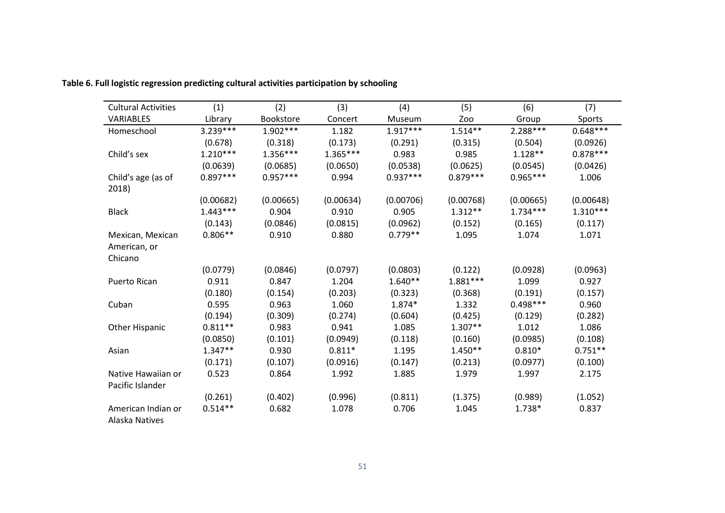| <b>Cultural Activities</b>  | (1)        | (2)        | (3)        | (4)        | (5)        | (6)        | (7)        |
|-----------------------------|------------|------------|------------|------------|------------|------------|------------|
| <b>VARIABLES</b>            | Library    | Bookstore  | Concert    | Museum     | Zoo        | Group      | Sports     |
| Homeschool                  | 3.239 ***  | $1.902***$ | 1.182      | $1.917***$ | $1.514**$  | 2.288***   | $0.648***$ |
|                             | (0.678)    | (0.318)    | (0.173)    | (0.291)    | (0.315)    | (0.504)    | (0.0926)   |
| Child's sex                 | $1.210***$ | $1.356***$ | $1.365***$ | 0.983      | 0.985      | $1.128**$  | $0.878***$ |
|                             | (0.0639)   | (0.0685)   | (0.0650)   | (0.0538)   | (0.0625)   | (0.0545)   | (0.0426)   |
| Child's age (as of<br>2018) | $0.897***$ | $0.957***$ | 0.994      | $0.937***$ | $0.879***$ | $0.965***$ | 1.006      |
|                             | (0.00682)  | (0.00665)  | (0.00634)  | (0.00706)  | (0.00768)  | (0.00665)  | (0.00648)  |
| <b>Black</b>                | $1.443***$ | 0.904      | 0.910      | 0.905      | $1.312**$  | $1.734***$ | $1.310***$ |
|                             | (0.143)    | (0.0846)   | (0.0815)   | (0.0962)   | (0.152)    | (0.165)    | (0.117)    |
| Mexican, Mexican            | $0.806**$  | 0.910      | 0.880      | $0.779**$  | 1.095      | 1.074      | 1.071      |
| American, or                |            |            |            |            |            |            |            |
| Chicano                     |            |            |            |            |            |            |            |
|                             | (0.0779)   | (0.0846)   | (0.0797)   | (0.0803)   | (0.122)    | (0.0928)   | (0.0963)   |
| Puerto Rican                | 0.911      | 0.847      | 1.204      | $1.640**$  | $1.881***$ | 1.099      | 0.927      |
|                             | (0.180)    | (0.154)    | (0.203)    | (0.323)    | (0.368)    | (0.191)    | (0.157)    |
| Cuban                       | 0.595      | 0.963      | 1.060      | 1.874*     | 1.332      | $0.498***$ | 0.960      |
|                             | (0.194)    | (0.309)    | (0.274)    | (0.604)    | (0.425)    | (0.129)    | (0.282)    |
| <b>Other Hispanic</b>       | $0.811**$  | 0.983      | 0.941      | 1.085      | $1.307**$  | 1.012      | 1.086      |
|                             | (0.0850)   | (0.101)    | (0.0949)   | (0.118)    | (0.160)    | (0.0985)   | (0.108)    |
| Asian                       | $1.347**$  | 0.930      | $0.811*$   | 1.195      | $1.450**$  | $0.810*$   | $0.751**$  |
|                             | (0.171)    | (0.107)    | (0.0916)   | (0.147)    | (0.213)    | (0.0977)   | (0.100)    |
| Native Hawaiian or          | 0.523      | 0.864      | 1.992      | 1.885      | 1.979      | 1.997      | 2.175      |
| Pacific Islander            |            |            |            |            |            |            |            |
|                             | (0.261)    | (0.402)    | (0.996)    | (0.811)    | (1.375)    | (0.989)    | (1.052)    |
| American Indian or          | $0.514**$  | 0.682      | 1.078      | 0.706      | 1.045      | 1.738*     | 0.837      |
| Alaska Natives              |            |            |            |            |            |            |            |

**Table 6. Full logistic regression predicting cultural activities participation by schooling**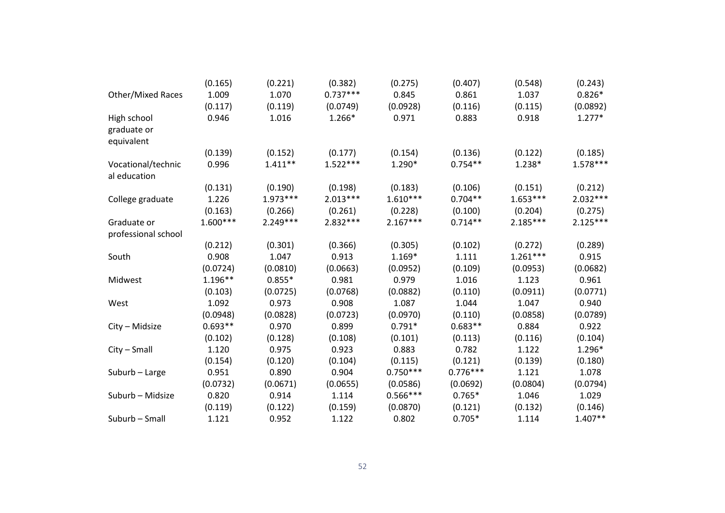|                                    | (0.165)    | (0.221)    | (0.382)    | (0.275)    | (0.407)    | (0.548)    | (0.243)    |
|------------------------------------|------------|------------|------------|------------|------------|------------|------------|
| <b>Other/Mixed Races</b>           | 1.009      | 1.070      | $0.737***$ | 0.845      | 0.861      | 1.037      | $0.826*$   |
|                                    | (0.117)    | (0.119)    | (0.0749)   | (0.0928)   | (0.116)    | (0.115)    | (0.0892)   |
| High school                        | 0.946      | 1.016      | 1.266*     | 0.971      | 0.883      | 0.918      | $1.277*$   |
| graduate or                        |            |            |            |            |            |            |            |
| equivalent                         |            |            |            |            |            |            |            |
|                                    | (0.139)    | (0.152)    | (0.177)    | (0.154)    | (0.136)    | (0.122)    | (0.185)    |
| Vocational/technic<br>al education | 0.996      | $1.411**$  | $1.522***$ | $1.290*$   | $0.754**$  | $1.238*$   | $1.578***$ |
|                                    | (0.131)    | (0.190)    | (0.198)    | (0.183)    | (0.106)    | (0.151)    | (0.212)    |
| College graduate                   | 1.226      | $1.973***$ | $2.013***$ | $1.610***$ | $0.704**$  | $1.653***$ | $2.032***$ |
|                                    | (0.163)    | (0.266)    | (0.261)    | (0.228)    | (0.100)    | (0.204)    | (0.275)    |
| Graduate or                        | $1.600***$ | $2.249***$ | 2.832 ***  | $2.167***$ | $0.714**$  | $2.185***$ | $2.125***$ |
| professional school                |            |            |            |            |            |            |            |
|                                    | (0.212)    | (0.301)    | (0.366)    | (0.305)    | (0.102)    | (0.272)    | (0.289)    |
| South                              | 0.908      | 1.047      | 0.913      | $1.169*$   | 1.111      | $1.261***$ | 0.915      |
|                                    | (0.0724)   | (0.0810)   | (0.0663)   | (0.0952)   | (0.109)    | (0.0953)   | (0.0682)   |
| Midwest                            | $1.196**$  | $0.855*$   | 0.981      | 0.979      | 1.016      | 1.123      | 0.961      |
|                                    | (0.103)    | (0.0725)   | (0.0768)   | (0.0882)   | (0.110)    | (0.0911)   | (0.0771)   |
| West                               | 1.092      | 0.973      | 0.908      | 1.087      | 1.044      | 1.047      | 0.940      |
|                                    | (0.0948)   | (0.0828)   | (0.0723)   | (0.0970)   | (0.110)    | (0.0858)   | (0.0789)   |
| City - Midsize                     | $0.693**$  | 0.970      | 0.899      | $0.791*$   | $0.683**$  | 0.884      | 0.922      |
|                                    | (0.102)    | (0.128)    | (0.108)    | (0.101)    | (0.113)    | (0.116)    | (0.104)    |
| City – Small                       | 1.120      | 0.975      | 0.923      | 0.883      | 0.782      | 1.122      | 1.296*     |
|                                    | (0.154)    | (0.120)    | (0.104)    | (0.115)    | (0.121)    | (0.139)    | (0.180)    |
| Suburb - Large                     | 0.951      | 0.890      | 0.904      | $0.750***$ | $0.776***$ | 1.121      | 1.078      |
|                                    | (0.0732)   | (0.0671)   | (0.0655)   | (0.0586)   | (0.0692)   | (0.0804)   | (0.0794)   |
| Suburb – Midsize                   | 0.820      | 0.914      | 1.114      | $0.566***$ | $0.765*$   | 1.046      | 1.029      |
|                                    | (0.119)    | (0.122)    | (0.159)    | (0.0870)   | (0.121)    | (0.132)    | (0.146)    |
| Suburb - Small                     | 1.121      | 0.952      | 1.122      | 0.802      | $0.705*$   | 1.114      | $1.407**$  |